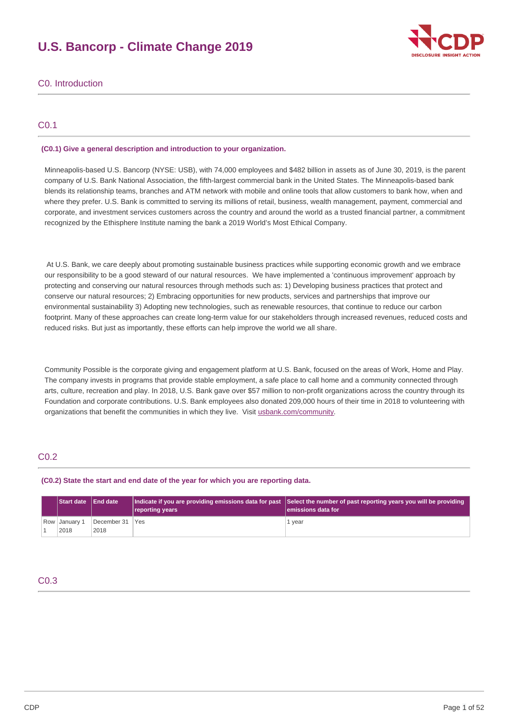# **U.S. Bancorp - Climate Change 2019**



## C0. Introduction

## C0.1

### **(C0.1) Give a general description and introduction to your organization.**

 Minneapolis-based U.S. Bancorp (NYSE: USB), with 74,000 employees and \$482 billion in assets as of June 30, 2019, is the parent company of U.S. Bank National Association, the fifth-largest commercial bank in the United States. The Minneapolis-based bank blends its relationship teams, branches and ATM network with mobile and online tools that allow customers to bank how, when and where they prefer. U.S. Bank is committed to serving its millions of retail, business, wealth management, payment, commercial and corporate, and investment services customers across the country and around the world as a trusted financial partner, a commitment recognized by the Ethisphere Institute naming the bank a 2019 World's Most Ethical Company.

 At U.S. Bank, we care deeply about promoting sustainable business practices while supporting economic growth and we embrace our responsibility to be a good steward of our natural resources. We have implemented a 'continuous improvement' approach by protecting and conserving our natural resources through methods such as: 1) Developing business practices that protect and conserve our natural resources; 2) Embracing opportunities for new products, services and partnerships that improve our environmental sustainability 3) Adopting new technologies, such as renewable resources, that continue to reduce our carbon footprint. Many of these approaches can create long-term value for our stakeholders through increased revenues, reduced costs and reduced risks. But just as importantly, these efforts can help improve the world we all share.

 Community Possible is the corporate giving and engagement platform at U.S. Bank, focused on the areas of Work, Home and Play. The company invests in programs that provide stable employment, a safe place to call home and a community connected through arts, culture, recreation and play. In 2018, U.S. Bank gave over \$57 million to non-profit organizations across the country through its Foundation and corporate contributions. U.S. Bank employees also donated 209,000 hours of their time in 2018 to volunteering with organizations that benefit the communities in which they live. Visit [usbank.com/community](https://www.usbank.com/community/index.aspx).

## C0.2

#### **(C0.2) State the start and end date of the year for which you are reporting data.**

| Start date End date   |                         | reporting years | Indicate if you are providing emissions data for past Select the number of past reporting years you will be providing<br>lemissions data for |
|-----------------------|-------------------------|-----------------|----------------------------------------------------------------------------------------------------------------------------------------------|
| Row January 1<br>2018 | December 31 Yes<br>2018 |                 | 1 vear                                                                                                                                       |

## C0.3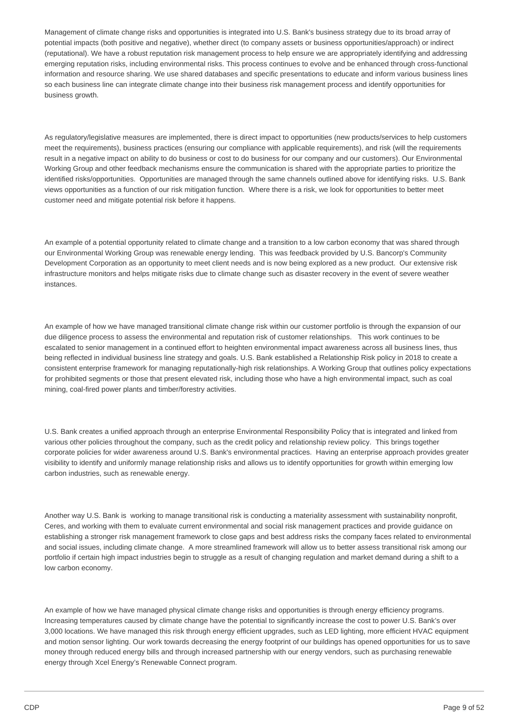Management of climate change risks and opportunities is integrated into U.S. Bank's business strategy due to its broad array of potential impacts (both positive and negative), whether direct (to company assets or business opportunities/approach) or indirect (reputational). We have a robust reputation risk management process to help ensure we are appropriately identifying and addressing emerging reputation risks, including environmental risks. This process continues to evolve and be enhanced through cross-functional information and resource sharing. We use shared databases and specific presentations to educate and inform various business lines so each business line can integrate climate change into their business risk management process and identify opportunities for business growth.

 As regulatory/legislative measures are implemented, there is direct impact to opportunities (new products/services to help customers meet the requirements), business practices (ensuring our compliance with applicable requirements), and risk (will the requirements result in a negative impact on ability to do business or cost to do business for our company and our customers). Our Environmental Working Group and other feedback mechanisms ensure the communication is shared with the appropriate parties to prioritize the identified risks/opportunities. Opportunities are managed through the same channels outlined above for identifying risks. U.S. Bank views opportunities as a function of our risk mitigation function. Where there is a risk, we look for opportunities to better meet customer need and mitigate potential risk before it happens.

 An example of a potential opportunity related to climate change and a transition to a low carbon economy that was shared through our Environmental Working Group was renewable energy lending. This was feedback provided by U.S. Bancorp's Community Development Corporation as an opportunity to meet client needs and is now being explored as a new product. Our extensive risk infrastructure monitors and helps mitigate risks due to climate change such as disaster recovery in the event of severe weather instances.

 An example of how we have managed transitional climate change risk within our customer portfolio is through the expansion of our due diligence process to assess the environmental and reputation risk of customer relationships. This work continues to be escalated to senior management in a continued effort to heighten environmental impact awareness across all business lines, thus being reflected in individual business line strategy and goals. U.S. Bank established a Relationship Risk policy in 2018 to create a consistent enterprise framework for managing reputationally-high risk relationships. A Working Group that outlines policy expectations for prohibited segments or those that present elevated risk, including those who have a high environmental impact, such as coal mining, coal-fired power plants and timber/forestry activities.

 U.S. Bank creates a unified approach through an enterprise Environmental Responsibility Policy that is integrated and linked from various other policies throughout the company, such as the credit policy and relationship review policy. This brings together corporate policies for wider awareness around U.S. Bank's environmental practices. Having an enterprise approach provides greater visibility to identify and uniformly manage relationship risks and allows us to identify opportunities for growth within emerging low carbon industries, such as renewable energy.

 Another way U.S. Bank is working to manage transitional risk is conducting a materiality assessment with sustainability nonprofit, Ceres, and working with them to evaluate current environmental and social risk management practices and provide guidance on establishing a stronger risk management framework to close gaps and best address risks the company faces related to environmental and social issues, including climate change. A more streamlined framework will allow us to better assess transitional risk among our portfolio if certain high impact industries begin to struggle as a result of changing regulation and market demand during a shift to a low carbon economy.

 An example of how we have managed physical climate change risks and opportunities is through energy efficiency programs. Increasing temperatures caused by climate change have the potential to significantly increase the cost to power U.S. Bank's over 3,000 locations. We have managed this risk through energy efficient upgrades, such as LED lighting, more efficient HVAC equipment and motion sensor lighting. Our work towards decreasing the energy footprint of our buildings has opened opportunities for us to save money through reduced energy bills and through increased partnership with our energy vendors, such as purchasing renewable energy through Xcel Energy's Renewable Connect program.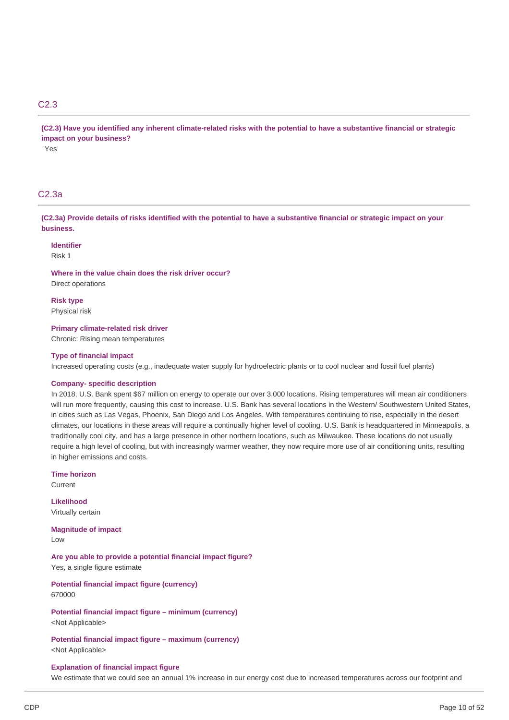## C2.3

(C2.3) Have you identified any inherent climate-related risks with the potential to have a substantive financial or strategic  **impact on your business?** Yes

## C2.3a

(C2.3a) Provide details of risks identified with the potential to have a substantive financial or strategic impact on your **business.**

**Identifier** Risk 1

 **Where in the value chain does the risk driver occur?** Direct operations

**Risk type** Physical risk

#### **Primary climate-related risk driver**

Chronic: Rising mean temperatures

#### **Type of financial impact**

Increased operating costs (e.g., inadequate water supply for hydroelectric plants or to cool nuclear and fossil fuel plants)

#### **Company- specific description**

 In 2018, U.S. Bank spent \$67 million on energy to operate our over 3,000 locations. Rising temperatures will mean air conditioners will run more frequently, causing this cost to increase. U.S. Bank has several locations in the Western/ Southwestern United States, in cities such as Las Vegas, Phoenix, San Diego and Los Angeles. With temperatures continuing to rise, especially in the desert climates, our locations in these areas will require a continually higher level of cooling. U.S. Bank is headquartered in Minneapolis, a traditionally cool city, and has a large presence in other northern locations, such as Milwaukee. These locations do not usually require a high level of cooling, but with increasingly warmer weather, they now require more use of air conditioning units, resulting in higher emissions and costs.

**Time horizon** Current

**Likelihood** Virtually certain

 **Magnitude of impact** Low

 **Are you able to provide a potential financial impact figure?** Yes, a single figure estimate

 **Potential financial impact figure (currency)** 670000

 **Potential financial impact figure – minimum (currency)** <Not Applicable>

 **Potential financial impact figure – maximum (currency)** <Not Applicable>

#### **Explanation of financial impact figure**

We estimate that we could see an annual 1% increase in our energy cost due to increased temperatures across our footprint and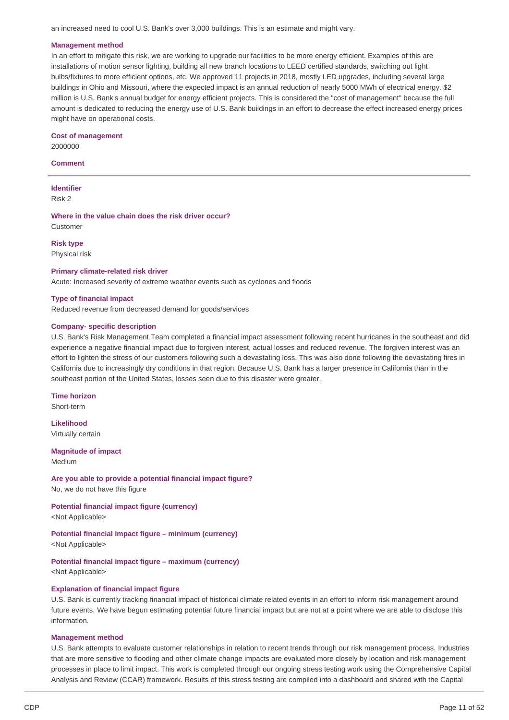an increased need to cool U.S. Bank's over 3,000 buildings. This is an estimate and might vary.

#### **Management method**

 In an effort to mitigate this risk, we are working to upgrade our facilities to be more energy efficient. Examples of this are installations of motion sensor lighting, building all new branch locations to LEED certified standards, switching out light bulbs/fixtures to more efficient options, etc. We approved 11 projects in 2018, mostly LED upgrades, including several large buildings in Ohio and Missouri, where the expected impact is an annual reduction of nearly 5000 MWh of electrical energy. \$2 million is U.S. Bank's annual budget for energy efficient projects. This is considered the "cost of management" because the full amount is dedicated to reducing the energy use of U.S. Bank buildings in an effort to decrease the effect increased energy prices might have on operational costs.

 **Cost of management** 2000000

**Comment**

**Identifier** Risk 2

 **Where in the value chain does the risk driver occur?** Customer

**Risk type** Physical risk

#### **Primary climate-related risk driver**

Acute: Increased severity of extreme weather events such as cyclones and floods

#### **Type of financial impact**

Reduced revenue from decreased demand for goods/services

#### **Company- specific description**

 U.S. Bank's Risk Management Team completed a financial impact assessment following recent hurricanes in the southeast and did experience a negative financial impact due to forgiven interest, actual losses and reduced revenue. The forgiven interest was an effort to lighten the stress of our customers following such a devastating loss. This was also done following the devastating fires in California due to increasingly dry conditions in that region. Because U.S. Bank has a larger presence in California than in the southeast portion of the United States, losses seen due to this disaster were greater.

**Time horizon** Short-term

**Likelihood** Virtually certain

 **Magnitude of impact** Medium

 **Are you able to provide a potential financial impact figure?**

No, we do not have this figure

 **Potential financial impact figure (currency)** <Not Applicable>

 **Potential financial impact figure – minimum (currency)** <Not Applicable>

 **Potential financial impact figure – maximum (currency)** <Not Applicable>

#### **Explanation of financial impact figure**

 U.S. Bank is currently tracking financial impact of historical climate related events in an effort to inform risk management around future events. We have begun estimating potential future financial impact but are not at a point where we are able to disclose this information.

#### **Management method**

 U.S. Bank attempts to evaluate customer relationships in relation to recent trends through our risk management process. Industries that are more sensitive to flooding and other climate change impacts are evaluated more closely by location and risk management processes in place to limit impact. This work is completed through our ongoing stress testing work using the Comprehensive Capital Analysis and Review (CCAR) framework. Results of this stress testing are compiled into a dashboard and shared with the Capital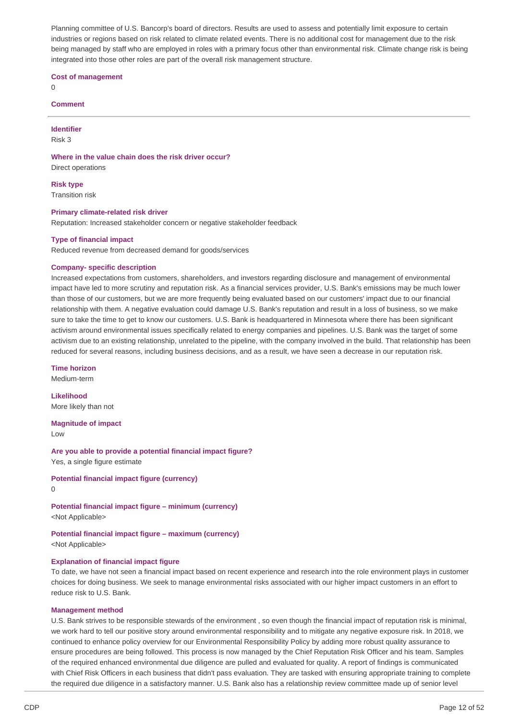Planning committee of U.S. Bancorp's board of directors. Results are used to assess and potentially limit exposure to certain industries or regions based on risk related to climate related events. There is no additional cost for management due to the risk being managed by staff who are employed in roles with a primary focus other than environmental risk. Climate change risk is being integrated into those other roles are part of the overall risk management structure.

 **Cost of management**

 $\Omega$ 

#### **Comment**

**Identifier**

Risk 3

 **Where in the value chain does the risk driver occur?** Direct operations

**Risk type**

Transition risk

### **Primary climate-related risk driver**

Reputation: Increased stakeholder concern or negative stakeholder feedback

### **Type of financial impact**

Reduced revenue from decreased demand for goods/services

### **Company- specific description**

 Increased expectations from customers, shareholders, and investors regarding disclosure and management of environmental impact have led to more scrutiny and reputation risk. As a financial services provider, U.S. Bank's emissions may be much lower than those of our customers, but we are more frequently being evaluated based on our customers' impact due to our financial relationship with them. A negative evaluation could damage U.S. Bank's reputation and result in a loss of business, so we make sure to take the time to get to know our customers. U.S. Bank is headquartered in Minnesota where there has been significant activism around environmental issues specifically related to energy companies and pipelines. U.S. Bank was the target of some activism due to an existing relationship, unrelated to the pipeline, with the company involved in the build. That relationship has been reduced for several reasons, including business decisions, and as a result, we have seen a decrease in our reputation risk.

**Time horizon**

Medium-term

 More likely than not **Likelihood**

 **Magnitude of impact**

Low

 **Are you able to provide a potential financial impact figure?** Yes, a single figure estimate

 **Potential financial impact figure (currency)**

 $\Omega$ 

 **Potential financial impact figure – minimum (currency)** <Not Applicable>

 **Potential financial impact figure – maximum (currency)** <Not Applicable>

## **Explanation of financial impact figure**

 To date, we have not seen a financial impact based on recent experience and research into the role environment plays in customer choices for doing business. We seek to manage environmental risks associated with our higher impact customers in an effort to reduce risk to U.S. Bank.

#### **Management method**

 U.S. Bank strives to be responsible stewards of the environment , so even though the financial impact of reputation risk is minimal, we work hard to tell our positive story around environmental responsibility and to mitigate any negative exposure risk. In 2018, we continued to enhance policy overview for our Environmental Responsibility Policy by adding more robust quality assurance to ensure procedures are being followed. This process is now managed by the Chief Reputation Risk Officer and his team. Samples of the required enhanced environmental due diligence are pulled and evaluated for quality. A report of findings is communicated with Chief Risk Officers in each business that didn't pass evaluation. They are tasked with ensuring appropriate training to complete the required due diligence in a satisfactory manner. U.S. Bank also has a relationship review committee made up of senior level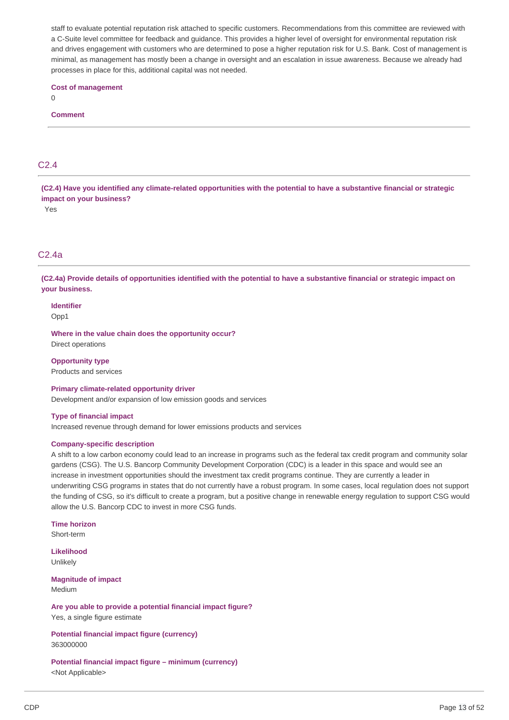staff to evaluate potential reputation risk attached to specific customers. Recommendations from this committee are reviewed with a C-Suite level committee for feedback and guidance. This provides a higher level of oversight for environmental reputation risk and drives engagement with customers who are determined to pose a higher reputation risk for U.S. Bank. Cost of management is minimal, as management has mostly been a change in oversight and an escalation in issue awareness. Because we already had processes in place for this, additional capital was not needed.

### **Cost of management**

0

#### **Comment**

## C2.4

(C2.4) Have you identified any climate-related opportunities with the potential to have a substantive financial or strategic  **impact on your business?**

Yes

## C2.4a

(C2.4a) Provide details of opportunities identified with the potential to have a substantive financial or strategic impact on **your business.**

## **Identifier**

Opp1

 **Where in the value chain does the opportunity occur?** Direct operations

 Products and services **Opportunity type**

 Development and/or expansion of low emission goods and services **Primary climate-related opportunity driver**

#### **Type of financial impact**

Increased revenue through demand for lower emissions products and services

### **Company-specific description**

 A shift to a low carbon economy could lead to an increase in programs such as the federal tax credit program and community solar gardens (CSG). The U.S. Bancorp Community Development Corporation (CDC) is a leader in this space and would see an increase in investment opportunities should the investment tax credit programs continue. They are currently a leader in underwriting CSG programs in states that do not currently have a robust program. In some cases, local regulation does not support the funding of CSG, so it's difficult to create a program, but a positive change in renewable energy regulation to support CSG would allow the U.S. Bancorp CDC to invest in more CSG funds.

**Time horizon** Short-term

**Likelihood** Unlikely

 **Magnitude of impact** Medium

 **Are you able to provide a potential financial impact figure?** Yes, a single figure estimate

 **Potential financial impact figure (currency)** 363000000

 **Potential financial impact figure – minimum (currency)** <Not Applicable>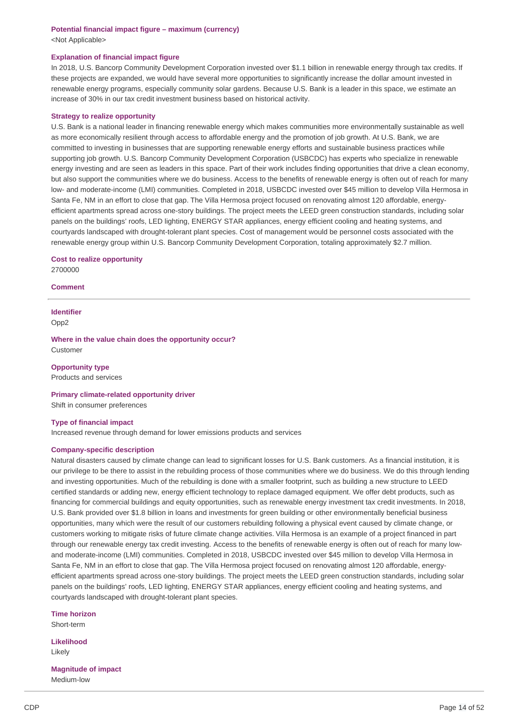## **Potential financial impact figure – maximum (currency)** <Not Applicable>

## **Explanation of financial impact figure**

 In 2018, U.S. Bancorp Community Development Corporation invested over \$1.1 billion in renewable energy through tax credits. If these projects are expanded, we would have several more opportunities to significantly increase the dollar amount invested in renewable energy programs, especially community solar gardens. Because U.S. Bank is a leader in this space, we estimate an increase of 30% in our tax credit investment business based on historical activity.

### **Strategy to realize opportunity**

 U.S. Bank is a national leader in financing renewable energy which makes communities more environmentally sustainable as well as more economically resilient through access to affordable energy and the promotion of job growth. At U.S. Bank, we are committed to investing in businesses that are supporting renewable energy efforts and sustainable business practices while supporting job growth. U.S. Bancorp Community Development Corporation (USBCDC) has experts who specialize in renewable energy investing and are seen as leaders in this space. Part of their work includes finding opportunities that drive a clean economy, but also support the communities where we do business. Access to the benefits of renewable energy is often out of reach for many low- and moderate-income (LMI) communities. Completed in 2018, USBCDC invested over \$45 million to develop Villa Hermosa in Santa Fe, NM in an effort to close that gap. The Villa Hermosa project focused on renovating almost 120 affordable, energy- efficient apartments spread across one-story buildings. The project meets the LEED green construction standards, including solar panels on the buildings' roofs, LED lighting, ENERGY STAR appliances, energy efficient cooling and heating systems, and courtyards landscaped with drought-tolerant plant species. Cost of management would be personnel costs associated with the renewable energy group within U.S. Bancorp Community Development Corporation, totaling approximately \$2.7 million.

 **Cost to realize opportunity** 2700000

#### **Comment**

## **Identifier** Opp2

 **Where in the value chain does the opportunity occur?** Customer

 Products and services **Opportunity type**

 Shift in consumer preferences **Primary climate-related opportunity driver**

#### **Type of financial impact**

Increased revenue through demand for lower emissions products and services

#### **Company-specific description**

 Natural disasters caused by climate change can lead to significant losses for U.S. Bank customers. As a financial institution, it is our privilege to be there to assist in the rebuilding process of those communities where we do business. We do this through lending and investing opportunities. Much of the rebuilding is done with a smaller footprint, such as building a new structure to LEED certified standards or adding new, energy efficient technology to replace damaged equipment. We offer debt products, such as financing for commercial buildings and equity opportunities, such as renewable energy investment tax credit investments. In 2018, U.S. Bank provided over \$1.8 billion in loans and investments for green building or other environmentally beneficial business opportunities, many which were the result of our customers rebuilding following a physical event caused by climate change, or customers working to mitigate risks of future climate change activities. Villa Hermosa is an example of a project financed in part through our renewable energy tax credit investing. Access to the benefits of renewable energy is often out of reach for many low- and moderate-income (LMI) communities. Completed in 2018, USBCDC invested over \$45 million to develop Villa Hermosa in Santa Fe, NM in an effort to close that gap. The Villa Hermosa project focused on renovating almost 120 affordable, energy- efficient apartments spread across one-story buildings. The project meets the LEED green construction standards, including solar panels on the buildings' roofs, LED lighting, ENERGY STAR appliances, energy efficient cooling and heating systems, and courtyards landscaped with drought-tolerant plant species.

**Time horizon** Short-term

**Likelihood** Likely

 **Magnitude of impact** Medium-low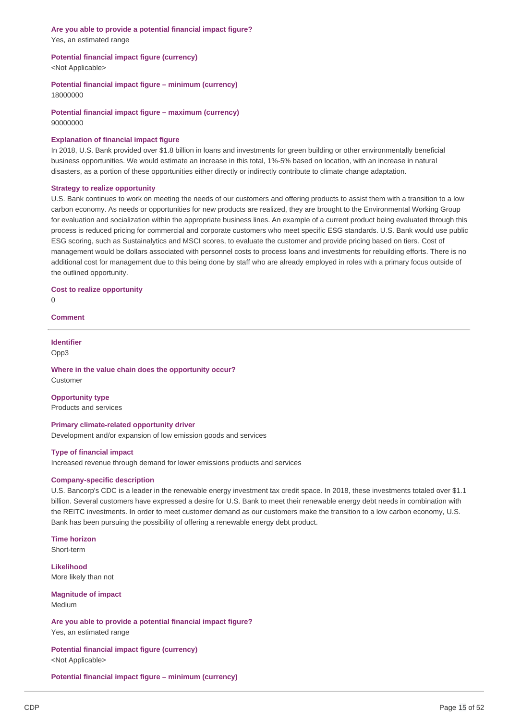## **Are you able to provide a potential financial impact figure?** Yes, an estimated range

### **Potential financial impact figure (currency)**

<Not Applicable>

 **Potential financial impact figure – minimum (currency)** 18000000

 **Potential financial impact figure – maximum (currency)** 90000000

## **Explanation of financial impact figure**

 In 2018, U.S. Bank provided over \$1.8 billion in loans and investments for green building or other environmentally beneficial business opportunities. We would estimate an increase in this total, 1%-5% based on location, with an increase in natural disasters, as a portion of these opportunities either directly or indirectly contribute to climate change adaptation.

## **Strategy to realize opportunity**

 U.S. Bank continues to work on meeting the needs of our customers and offering products to assist them with a transition to a low carbon economy. As needs or opportunities for new products are realized, they are brought to the Environmental Working Group for evaluation and socialization within the appropriate business lines. An example of a current product being evaluated through this process is reduced pricing for commercial and corporate customers who meet specific ESG standards. U.S. Bank would use public ESG scoring, such as Sustainalytics and MSCI scores, to evaluate the customer and provide pricing based on tiers. Cost of management would be dollars associated with personnel costs to process loans and investments for rebuilding efforts. There is no additional cost for management due to this being done by staff who are already employed in roles with a primary focus outside of the outlined opportunity.

## **Cost to realize opportunity**

 $\Omega$ 

## **Comment**

## **Identifier**

Opp3

## **Where in the value chain does the opportunity occur?** Customer

 Products and services **Opportunity type**

## **Primary climate-related opportunity driver**

Development and/or expansion of low emission goods and services

## **Type of financial impact**

Increased revenue through demand for lower emissions products and services

## **Company-specific description**

 U.S. Bancorp's CDC is a leader in the renewable energy investment tax credit space. In 2018, these investments totaled over \$1.1 billion. Several customers have expressed a desire for U.S. Bank to meet their renewable energy debt needs in combination with the REITC investments. In order to meet customer demand as our customers make the transition to a low carbon economy, U.S. Bank has been pursuing the possibility of offering a renewable energy debt product.

# **Time horizon**

Short-term

 More likely than not **Likelihood**

 **Magnitude of impact** Medium

 **Are you able to provide a potential financial impact figure?** Yes, an estimated range

 **Potential financial impact figure (currency)** <Not Applicable>

 **Potential financial impact figure – minimum (currency)**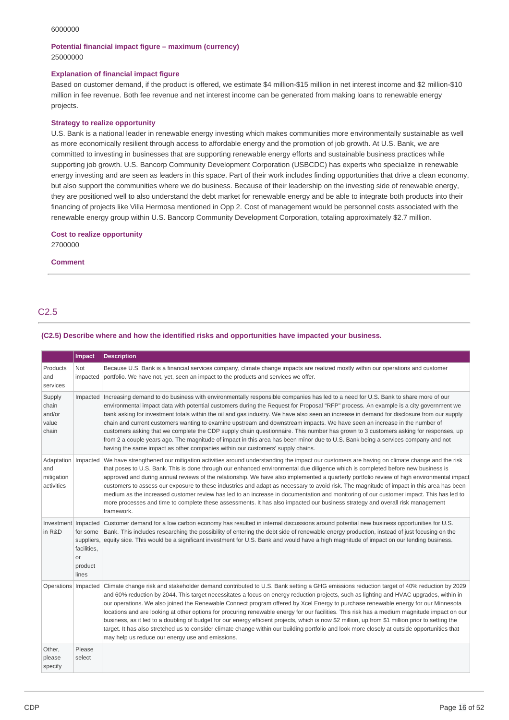#### 6000000

## **Potential financial impact figure – maximum (currency)** 25000000

## **Explanation of financial impact figure**

 Based on customer demand, if the product is offered, we estimate \$4 million-\$15 million in net interest income and \$2 million-\$10 million in fee revenue. Both fee revenue and net interest income can be generated from making loans to renewable energy projects.

## **Strategy to realize opportunity**

 U.S. Bank is a national leader in renewable energy investing which makes communities more environmentally sustainable as well as more economically resilient through access to affordable energy and the promotion of job growth. At U.S. Bank, we are committed to investing in businesses that are supporting renewable energy efforts and sustainable business practices while supporting job growth. U.S. Bancorp Community Development Corporation (USBCDC) has experts who specialize in renewable energy investing and are seen as leaders in this space. Part of their work includes finding opportunities that drive a clean economy, but also support the communities where we do business. Because of their leadership on the investing side of renewable energy, they are positioned well to also understand the debt market for renewable energy and be able to integrate both products into their financing of projects like Villa Hermosa mentioned in Opp 2. Cost of management would be personnel costs associated with the renewable energy group within U.S. Bancorp Community Development Corporation, totaling approximately \$2.7 million.

## **Cost to realize opportunity**

2700000

## **Comment**

## C2.5

## **(C2.5) Describe where and how the identified risks and opportunities have impacted your business.**

|                                                          | <b>Impact</b>                                                   | <b>Description</b>                                                                                                                                                                                                                                                                                                                                                                                                                                                                                                                                                                                                                                                                                                                                                                                                                                                                                                               |
|----------------------------------------------------------|-----------------------------------------------------------------|----------------------------------------------------------------------------------------------------------------------------------------------------------------------------------------------------------------------------------------------------------------------------------------------------------------------------------------------------------------------------------------------------------------------------------------------------------------------------------------------------------------------------------------------------------------------------------------------------------------------------------------------------------------------------------------------------------------------------------------------------------------------------------------------------------------------------------------------------------------------------------------------------------------------------------|
| Products<br>and<br>services                              | Not<br>impacted                                                 | Because U.S. Bank is a financial services company, climate change impacts are realized mostly within our operations and customer<br>portfolio. We have not, yet, seen an impact to the products and services we offer.                                                                                                                                                                                                                                                                                                                                                                                                                                                                                                                                                                                                                                                                                                           |
| Supply<br>chain<br>and/or<br>value<br>chain              | Impacted                                                        | Increasing demand to do business with environmentally responsible companies has led to a need for U.S. Bank to share more of our<br>environmental impact data with potential customers during the Request for Proposal "RFP" process. An example is a city government we<br>bank asking for investment totals within the oil and gas industry. We have also seen an increase in demand for disclosure from our supply<br>chain and current customers wanting to examine upstream and downstream impacts. We have seen an increase in the number of<br>customers asking that we complete the CDP supply chain questionnaire. This number has grown to 3 customers asking for responses, up<br>from 2 a couple years ago. The magnitude of impact in this area has been minor due to U.S. Bank being a services company and not<br>having the same impact as other companies within our customers' supply chains.                  |
| Adaptation   Impacted<br>and<br>mitigation<br>activities |                                                                 | We have strengthened our mitigation activities around understanding the impact our customers are having on climate change and the risk<br>that poses to U.S. Bank. This is done through our enhanced environmental due diligence which is completed before new business is<br>approved and during annual reviews of the relationship. We have also implemented a quarterly portfolio review of high environmental impact<br>customers to assess our exposure to these industries and adapt as necessary to avoid risk. The magnitude of impact in this area has been<br>medium as the increased customer review has led to an increase in documentation and monitoring of our customer impact. This has led to<br>more processes and time to complete these assessments. It has also impacted our business strategy and overall risk management<br>framework.                                                                    |
| Investment   Impacted<br>in R&D                          | for some<br>suppliers,<br>facilities,<br>or<br>product<br>lines | Customer demand for a low carbon economy has resulted in internal discussions around potential new business opportunities for U.S.<br>Bank. This includes researching the possibility of entering the debt side of renewable energy production, instead of just focusing on the<br>equity side. This would be a significant investment for U.S. Bank and would have a high magnitude of impact on our lending business.                                                                                                                                                                                                                                                                                                                                                                                                                                                                                                          |
| Operations   Impacted                                    |                                                                 | Climate change risk and stakeholder demand contributed to U.S. Bank setting a GHG emissions reduction target of 40% reduction by 2029<br>and 60% reduction by 2044. This target necessitates a focus on energy reduction projects, such as lighting and HVAC upgrades, within in<br>our operations. We also joined the Renewable Connect program offered by Xcel Energy to purchase renewable energy for our Minnesota<br>locations and are looking at other options for procuring renewable energy for our facilities. This risk has a medium magnitude impact on our<br>business, as it led to a doubling of budget for our energy efficient projects, which is now \$2 million, up from \$1 million prior to setting the<br>target. It has also stretched us to consider climate change within our building portfolio and look more closely at outside opportunities that<br>may help us reduce our energy use and emissions. |
| Other,<br>please<br>specify                              | Please<br>select                                                |                                                                                                                                                                                                                                                                                                                                                                                                                                                                                                                                                                                                                                                                                                                                                                                                                                                                                                                                  |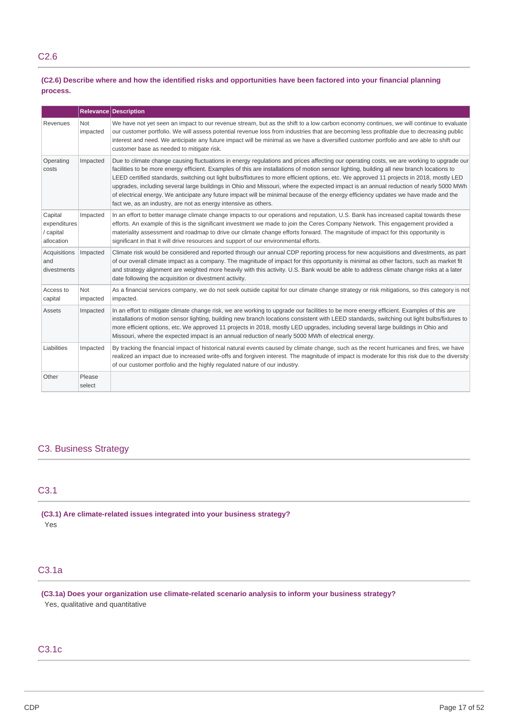## (C2.6) Describe where and how the identified risks and opportunities have been factored into your financial planning **process.**

|                                                    |                        | <b>Relevance Description</b>                                                                                                                                                                                                                                                                                                                                                                                                                                                                                                                                                                                                                                                                                                                                                          |
|----------------------------------------------------|------------------------|---------------------------------------------------------------------------------------------------------------------------------------------------------------------------------------------------------------------------------------------------------------------------------------------------------------------------------------------------------------------------------------------------------------------------------------------------------------------------------------------------------------------------------------------------------------------------------------------------------------------------------------------------------------------------------------------------------------------------------------------------------------------------------------|
| Revenues                                           | <b>Not</b><br>impacted | We have not yet seen an impact to our revenue stream, but as the shift to a low carbon economy continues, we will continue to evaluate<br>our customer portfolio. We will assess potential revenue loss from industries that are becoming less profitable due to decreasing public<br>interest and need. We anticipate any future impact will be minimal as we have a diversified customer portfolio and are able to shift our<br>customer base as needed to mitigate risk.                                                                                                                                                                                                                                                                                                           |
| Operating<br>costs                                 | Impacted               | Due to climate change causing fluctuations in energy regulations and prices affecting our operating costs, we are working to upgrade our<br>facilities to be more energy efficient. Examples of this are installations of motion sensor lighting, building all new branch locations to<br>LEED certified standards, switching out light bulbs/fixtures to more efficient options, etc. We approved 11 projects in 2018, mostly LED<br>upgrades, including several large buildings in Ohio and Missouri, where the expected impact is an annual reduction of nearly 5000 MWh<br>of electrical energy. We anticipate any future impact will be minimal because of the energy efficiency updates we have made and the<br>fact we, as an industry, are not as energy intensive as others. |
| Capital<br>expenditures<br>/ capital<br>allocation | Impacted               | In an effort to better manage climate change impacts to our operations and reputation, U.S. Bank has increased capital towards these<br>efforts. An example of this is the significant investment we made to join the Ceres Company Network. This engagement provided a<br>materiality assessment and roadmap to drive our climate change efforts forward. The magnitude of impact for this opportunity is<br>significant in that it will drive resources and support of our environmental efforts.                                                                                                                                                                                                                                                                                   |
| Acquisitions<br>and<br>divestments                 | Impacted               | Climate risk would be considered and reported through our annual CDP reporting process for new acquisitions and divestments, as part<br>of our overall climate impact as a company. The magnitude of impact for this opportunity is minimal as other factors, such as market fit<br>and strategy alignment are weighted more heavily with this activity. U.S. Bank would be able to address climate change risks at a later<br>date following the acquisition or divestment activity.                                                                                                                                                                                                                                                                                                 |
| Access to<br>capital                               | <b>Not</b><br>impacted | As a financial services company, we do not seek outside capital for our climate change strategy or risk mitigations, so this category is not<br>impacted.                                                                                                                                                                                                                                                                                                                                                                                                                                                                                                                                                                                                                             |
| <b>Assets</b>                                      | Impacted               | In an effort to mitigate climate change risk, we are working to upgrade our facilities to be more energy efficient. Examples of this are<br>installations of motion sensor lighting, building new branch locations consistent with LEED standards, switching out light bulbs/fixtures to<br>more efficient options, etc. We approved 11 projects in 2018, mostly LED upgrades, including several large buildings in Ohio and<br>Missouri, where the expected impact is an annual reduction of nearly 5000 MWh of electrical energy.                                                                                                                                                                                                                                                   |
| Liabilities                                        | Impacted               | By tracking the financial impact of historical natural events caused by climate change, such as the recent hurricanes and fires, we have<br>realized an impact due to increased write-offs and forgiven interest. The magnitude of impact is moderate for this risk due to the diversity<br>of our customer portfolio and the highly regulated nature of our industry.                                                                                                                                                                                                                                                                                                                                                                                                                |
| Other                                              | Please<br>select       |                                                                                                                                                                                                                                                                                                                                                                                                                                                                                                                                                                                                                                                                                                                                                                                       |

## C3. Business Strategy

## C3.1

 **(C3.1) Are climate-related issues integrated into your business strategy?** Yes

## C3.1a

 **(C3.1a) Does your organization use climate-related scenario analysis to inform your business strategy?** Yes, qualitative and quantitative

# C3.1c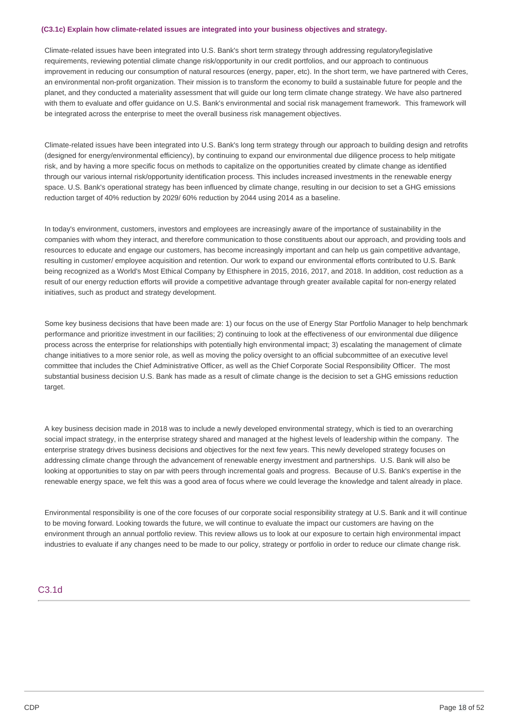#### **(C3.1c) Explain how climate-related issues are integrated into your business objectives and strategy.**

 Climate-related issues have been integrated into U.S. Bank's short term strategy through addressing regulatory/legislative requirements, reviewing potential climate change risk/opportunity in our credit portfolios, and our approach to continuous improvement in reducing our consumption of natural resources (energy, paper, etc). In the short term, we have partnered with Ceres, an environmental non-profit organization. Their mission is to transform the economy to build a sustainable future for people and the planet, and they conducted a materiality assessment that will guide our long term climate change strategy. We have also partnered with them to evaluate and offer guidance on U.S. Bank's environmental and social risk management framework. This framework will be integrated across the enterprise to meet the overall business risk management objectives.

 Climate-related issues have been integrated into U.S. Bank's long term strategy through our approach to building design and retrofits (designed for energy/environmental efficiency), by continuing to expand our environmental due diligence process to help mitigate risk, and by having a more specific focus on methods to capitalize on the opportunities created by climate change as identified through our various internal risk/opportunity identification process. This includes increased investments in the renewable energy space. U.S. Bank's operational strategy has been influenced by climate change, resulting in our decision to set a GHG emissions reduction target of 40% reduction by 2029/ 60% reduction by 2044 using 2014 as a baseline.

 In today's environment, customers, investors and employees are increasingly aware of the importance of sustainability in the companies with whom they interact, and therefore communication to those constituents about our approach, and providing tools and resources to educate and engage our customers, has become increasingly important and can help us gain competitive advantage, resulting in customer/ employee acquisition and retention. Our work to expand our environmental efforts contributed to U.S. Bank being recognized as a World's Most Ethical Company by Ethisphere in 2015, 2016, 2017, and 2018. In addition, cost reduction as a result of our energy reduction efforts will provide a competitive advantage through greater available capital for non-energy related initiatives, such as product and strategy development.

 Some key business decisions that have been made are: 1) our focus on the use of Energy Star Portfolio Manager to help benchmark performance and prioritize investment in our facilities; 2) continuing to look at the effectiveness of our environmental due diligence process across the enterprise for relationships with potentially high environmental impact; 3) escalating the management of climate change initiatives to a more senior role, as well as moving the policy oversight to an official subcommittee of an executive level committee that includes the Chief Administrative Officer, as well as the Chief Corporate Social Responsibility Officer. The most substantial business decision U.S. Bank has made as a result of climate change is the decision to set a GHG emissions reduction target.

 A key business decision made in 2018 was to include a newly developed environmental strategy, which is tied to an overarching social impact strategy, in the enterprise strategy shared and managed at the highest levels of leadership within the company. The enterprise strategy drives business decisions and objectives for the next few years. This newly developed strategy focuses on addressing climate change through the advancement of renewable energy investment and partnerships. U.S. Bank will also be looking at opportunities to stay on par with peers through incremental goals and progress. Because of U.S. Bank's expertise in the renewable energy space, we felt this was a good area of focus where we could leverage the knowledge and talent already in place.

 Environmental responsibility is one of the core focuses of our corporate social responsibility strategy at U.S. Bank and it will continue to be moving forward. Looking towards the future, we will continue to evaluate the impact our customers are having on the environment through an annual portfolio review. This review allows us to look at our exposure to certain high environmental impact industries to evaluate if any changes need to be made to our policy, strategy or portfolio in order to reduce our climate change risk.

## C3.1d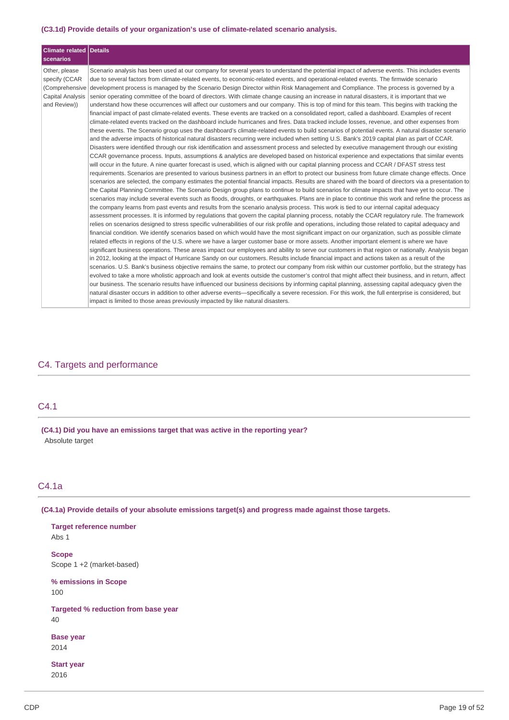#### **(C3.1d) Provide details of your organization's use of climate-related scenario analysis.**

| Climate related Details<br><b>scenarios</b>                                          |                                                                                                                                                                                                                                                                                                                                                                                                                                                                                                                                                                                                                                                                                                                                                                                                                                                                                                                                                                                                                                                                                                                                                                                                                                                                                                                                                                                                                                                                                                                                                                                                                                                                                                                                                                                                                                                                                                                                                                                                                                                                                                                                                                                                                                                                                                                                                                                                                                                                                                                                                                                                                                                                                                                                                                                                                                                                                                                                                                                                                                                                                                                                                                                                                                                                                                                                                                                                                                                                                                                                                                                                                                                                                                                                                                                                                                                                                                                                                                                                                                                         |
|--------------------------------------------------------------------------------------|---------------------------------------------------------------------------------------------------------------------------------------------------------------------------------------------------------------------------------------------------------------------------------------------------------------------------------------------------------------------------------------------------------------------------------------------------------------------------------------------------------------------------------------------------------------------------------------------------------------------------------------------------------------------------------------------------------------------------------------------------------------------------------------------------------------------------------------------------------------------------------------------------------------------------------------------------------------------------------------------------------------------------------------------------------------------------------------------------------------------------------------------------------------------------------------------------------------------------------------------------------------------------------------------------------------------------------------------------------------------------------------------------------------------------------------------------------------------------------------------------------------------------------------------------------------------------------------------------------------------------------------------------------------------------------------------------------------------------------------------------------------------------------------------------------------------------------------------------------------------------------------------------------------------------------------------------------------------------------------------------------------------------------------------------------------------------------------------------------------------------------------------------------------------------------------------------------------------------------------------------------------------------------------------------------------------------------------------------------------------------------------------------------------------------------------------------------------------------------------------------------------------------------------------------------------------------------------------------------------------------------------------------------------------------------------------------------------------------------------------------------------------------------------------------------------------------------------------------------------------------------------------------------------------------------------------------------------------------------------------------------------------------------------------------------------------------------------------------------------------------------------------------------------------------------------------------------------------------------------------------------------------------------------------------------------------------------------------------------------------------------------------------------------------------------------------------------------------------------------------------------------------------------------------------------------------------------------------------------------------------------------------------------------------------------------------------------------------------------------------------------------------------------------------------------------------------------------------------------------------------------------------------------------------------------------------------------------------------------------------------------------------------------------------------------|
| Other, please<br>specify (CCAR<br>(Comprehensive<br>Capital Analysis<br>and Review)) | Scenario analysis has been used at our company for several years to understand the potential impact of adverse events. This includes events<br>due to several factors from climate-related events, to economic-related events, and operational-related events. The firmwide scenario<br>development process is managed by the Scenario Design Director within Risk Management and Compliance. The process is governed by a<br>senior operating committee of the board of directors. With climate change causing an increase in natural disasters, it is important that we<br>understand how these occurrences will affect our customers and our company. This is top of mind for this team. This begins with tracking the<br>financial impact of past climate-related events. These events are tracked on a consolidated report, called a dashboard. Examples of recent<br>climate-related events tracked on the dashboard include hurricanes and fires. Data tracked include losses, revenue, and other expenses from<br>these events. The Scenario group uses the dashboard's climate-related events to build scenarios of potential events. A natural disaster scenario<br>and the adverse impacts of historical natural disasters recurring were included when setting U.S. Bank's 2019 capital plan as part of CCAR.<br>Disasters were identified through our risk identification and assessment process and selected by executive management through our existing<br>CCAR governance process. Inputs, assumptions & analytics are developed based on historical experience and expectations that similar events<br>will occur in the future. A nine quarter forecast is used, which is aligned with our capital planning process and CCAR / DFAST stress test<br>requirements. Scenarios are presented to various business partners in an effort to protect our business from future climate change effects. Once<br>scenarios are selected, the company estimates the potential financial impacts. Results are shared with the board of directors via a presentation to<br>the Capital Planning Committee. The Scenario Design group plans to continue to build scenarios for climate impacts that have yet to occur. The<br>scenarios may include several events such as floods, droughts, or earthquakes. Plans are in place to continue this work and refine the process as<br>the company learns from past events and results from the scenario analysis process. This work is tied to our internal capital adequacy<br>assessment processes. It is informed by regulations that govern the capital planning process, notably the CCAR regulatory rule. The framework<br>relies on scenarios designed to stress specific vulnerabilities of our risk profile and operations, including those related to capital adequacy and<br>financial condition. We identify scenarios based on which would have the most significant impact on our organization, such as possible climate<br>related effects in regions of the U.S. where we have a larger customer base or more assets. Another important element is where we have<br>significant business operations. These areas impact our employees and ability to serve our customers in that region or nationally. Analysis began<br>in 2012, looking at the impact of Hurricane Sandy on our customers. Results include financial impact and actions taken as a result of the<br>scenarios. U.S. Bank's business objective remains the same, to protect our company from risk within our customer portfolio, but the strategy has<br>evolved to take a more wholistic approach and look at events outside the customer's control that might affect their business, and in return, affect<br>our business. The scenario results have influenced our business decisions by informing capital planning, assessing capital adeguacy given the<br>natural disaster occurs in addition to other adverse events-specifically a severe recession. For this work, the full enterprise is considered, but |
|                                                                                      | impact is limited to those areas previously impacted by like natural disasters.                                                                                                                                                                                                                                                                                                                                                                                                                                                                                                                                                                                                                                                                                                                                                                                                                                                                                                                                                                                                                                                                                                                                                                                                                                                                                                                                                                                                                                                                                                                                                                                                                                                                                                                                                                                                                                                                                                                                                                                                                                                                                                                                                                                                                                                                                                                                                                                                                                                                                                                                                                                                                                                                                                                                                                                                                                                                                                                                                                                                                                                                                                                                                                                                                                                                                                                                                                                                                                                                                                                                                                                                                                                                                                                                                                                                                                                                                                                                                                         |

## C4. Targets and performance

## C4.1

 **(C4.1) Did you have an emissions target that was active in the reporting year?** Absolute target

# C4.1a

 **(C4.1a) Provide details of your absolute emissions target(s) and progress made against those targets.**

 **Target reference number** Scope 1 +2 (market-based)  **% emissions in Scope Targeted % reduction from base year** Abs 1 **Scope** 100 40 **Base year** 2014 **Start year**

```
2016
```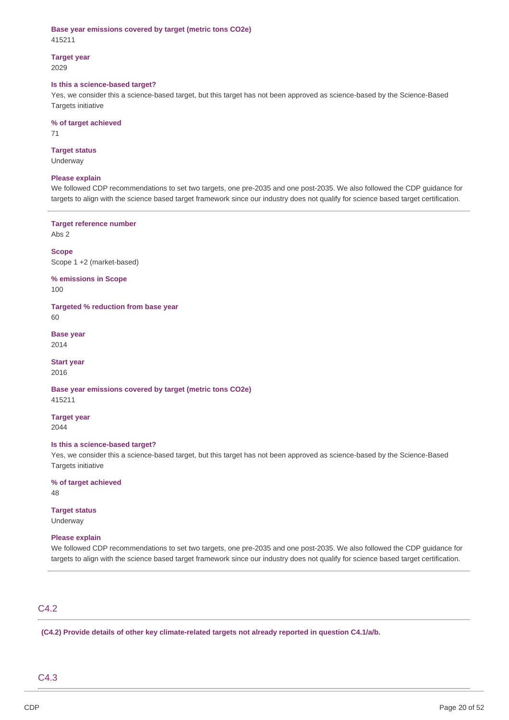**Base year emissions covered by target (metric tons CO2e)** 415211

**Target year** 2029

#### **Is this a science-based target?**

 Yes, we consider this a science-based target, but this target has not been approved as science-based by the Science-Based Targets initiative

#### **% of target achieved**

71

#### **Target status** Underway

## **Please explain**

 We followed CDP recommendations to set two targets, one pre-2035 and one post-2035. We also followed the CDP guidance for targets to align with the science based target framework since our industry does not qualify for science based target certification.

 **Target reference number**

Abs 2

 Scope 1 +2 (market-based) **Scope**

 **% emissions in Scope** 100

 **Targeted % reduction from base year**

60

**Base year** 2014

**Start year** 2016

 **Base year emissions covered by target (metric tons CO2e)** 415211

**Target year**

2044

#### **Is this a science-based target?**

 Yes, we consider this a science-based target, but this target has not been approved as science-based by the Science-Based Targets initiative

 **% of target achieved** 48

**Target status** Underway

## **Please explain**

 We followed CDP recommendations to set two targets, one pre-2035 and one post-2035. We also followed the CDP guidance for targets to align with the science based target framework since our industry does not qualify for science based target certification.

## C4.2

 **(C4.2) Provide details of other key climate-related targets not already reported in question C4.1/a/b.**

## C4.3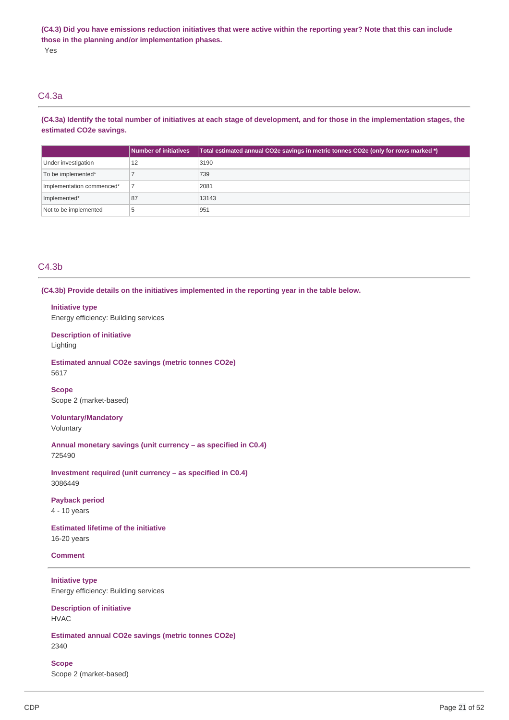(C4.3) Did you have emissions reduction initiatives that were active within the reporting year? Note that this can include  **those in the planning and/or implementation phases.** Yes

## C4.3a

(C4.3a) Identify the total number of initiatives at each stage of development, and for those in the implementation stages, the  **estimated CO2e savings.**

|                           | <b>Number of initiatives</b> | Total estimated annual CO2e savings in metric tonnes CO2e (only for rows marked *) |
|---------------------------|------------------------------|------------------------------------------------------------------------------------|
| Under investigation       | 12                           | 3190                                                                               |
| To be implemented*        |                              | 739                                                                                |
| Implementation commenced* |                              | 2081                                                                               |
| Implemented*              | 87                           | 13143                                                                              |
| Not to be implemented     |                              | 951                                                                                |

## C4.3b

 **(C4.3b) Provide details on the initiatives implemented in the reporting year in the table below.**

#### **Initiative type**

Energy efficiency: Building services

## **Description of initiative**

Lighting

# **Estimated annual CO2e savings (metric tonnes CO2e)**

5617

## Scope 2 (market-based) **Scope**

**Voluntary/Mandatory** Voluntary

 **Annual monetary savings (unit currency – as specified in C0.4)** 725490

 **Investment required (unit currency – as specified in C0.4)** 3086449

## **Payback period**

4 - 10 years

 **Estimated lifetime of the initiative** 16-20 years

### **Comment**

 Energy efficiency: Building services **Initiative type**

 **Description of initiative** HVAC

 **Estimated annual CO2e savings (metric tonnes CO2e)** 2340

 Scope 2 (market-based) **Scope**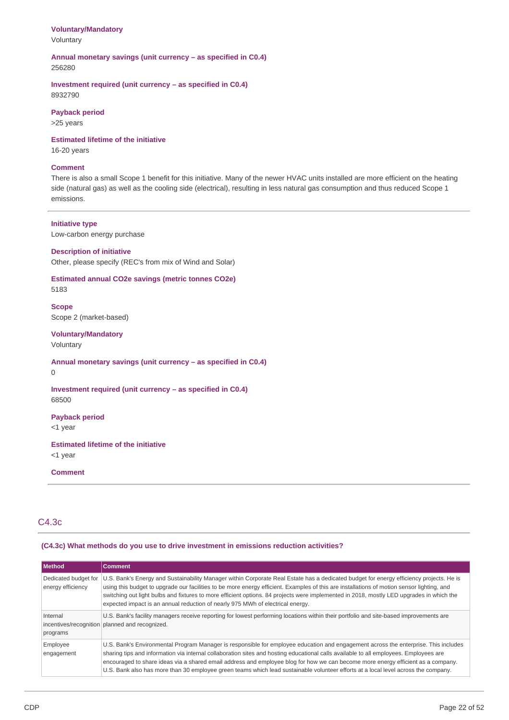## **Voluntary/Mandatory**

Voluntary

## **Annual monetary savings (unit currency – as specified in C0.4)** 256280

 **Investment required (unit currency – as specified in C0.4)** 8932790

## **Payback period**

>25 years

## **Estimated lifetime of the initiative**

16-20 years

## **Comment**

 There is also a small Scope 1 benefit for this initiative. Many of the newer HVAC units installed are more efficient on the heating side (natural gas) as well as the cooling side (electrical), resulting in less natural gas consumption and thus reduced Scope 1 emissions.

## **Initiative type**

Low-carbon energy purchase

## **Description of initiative**

Other, please specify (REC's from mix of Wind and Solar)

## **Estimated annual CO2e savings (metric tonnes CO2e)** 5183

 Scope 2 (market-based) **Scope**

## **Voluntary/Mandatory**

Voluntary

## **Annual monetary savings (unit currency – as specified in C0.4)**

0

## **Investment required (unit currency – as specified in C0.4)** 68500

**Payback period**

<1 year

## **Estimated lifetime of the initiative**

<1 year

## **Comment**

## C4.3c

## **(C4.3c) What methods do you use to drive investment in emissions reduction activities?**

| Method                                    | <b>Comment</b>                                                                                                                                                                                                                                                                                                                                                                                                                                                                                                                                         |
|-------------------------------------------|--------------------------------------------------------------------------------------------------------------------------------------------------------------------------------------------------------------------------------------------------------------------------------------------------------------------------------------------------------------------------------------------------------------------------------------------------------------------------------------------------------------------------------------------------------|
| Dedicated budget for<br>energy efficiency | U.S. Bank's Energy and Sustainability Manager within Corporate Real Estate has a dedicated budget for energy efficiency projects. He is<br>using this budget to upgrade our facilities to be more energy efficient. Examples of this are installations of motion sensor lighting, and<br>switching out light bulbs and fixtures to more efficient options. 84 projects were implemented in 2018, mostly LED upgrades in which the<br>expected impact is an annual reduction of nearly 975 MWh of electrical energy.                                    |
| Internal<br>programs                      | U.S. Bank's facility managers receive reporting for lowest performing locations within their portfolio and site-based improvements are<br>incentives/recognition planned and recognized.                                                                                                                                                                                                                                                                                                                                                               |
| Employee<br>engagement                    | U.S. Bank's Environmental Program Manager is responsible for employee education and engagement across the enterprise. This includes<br>sharing tips and information via internal collaboration sites and hosting educational calls available to all employees. Employees are<br>encouraged to share ideas via a shared email address and employee blog for how we can become more energy efficient as a company.<br>U.S. Bank also has more than 30 employee green teams which lead sustainable volunteer efforts at a local level across the company. |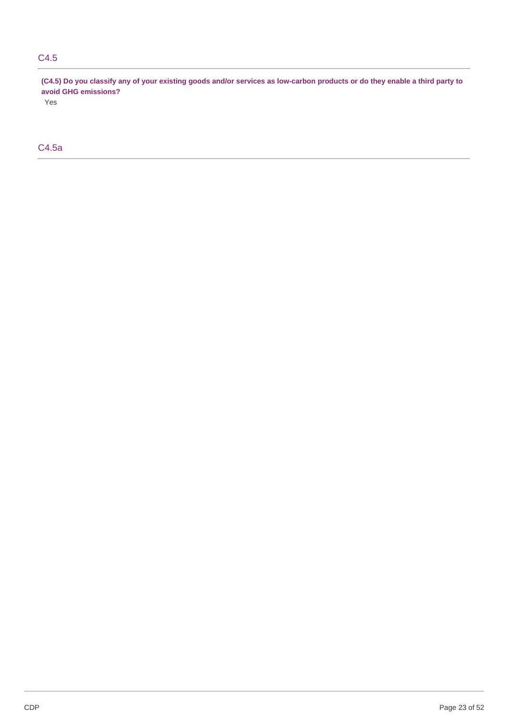## C4.5

(C4.5) Do you classify any of your existing goods and/or services as low-carbon products or do they enable a third party to  **avoid GHG emissions?**

Yes

# C4.5a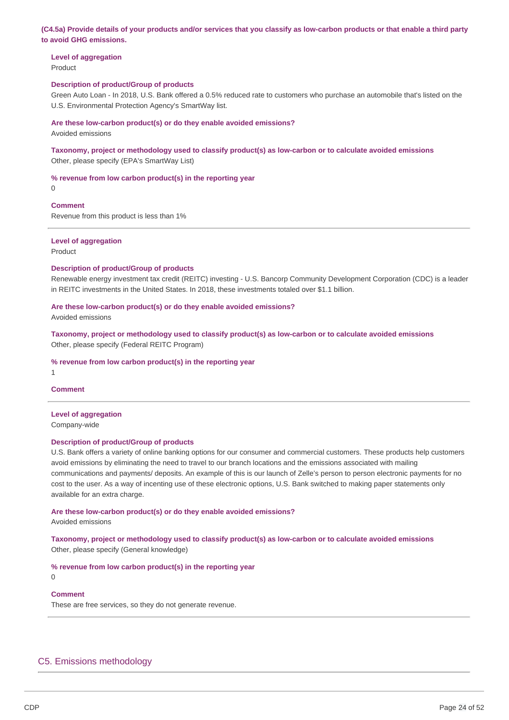(C4.5a) Provide details of your products and/or services that you classify as low-carbon products or that enable a third party  **to avoid GHG emissions.**

 **Level of aggregation** Product

#### **Description of product/Group of products**

 Green Auto Loan - In 2018, U.S. Bank offered a 0.5% reduced rate to customers who purchase an automobile that's listed on the U.S. Environmental Protection Agency's SmartWay list.

#### **Are these low-carbon product(s) or do they enable avoided emissions?**

Avoided emissions

### **Taxonomy, project or methodology used to classify product(s) as low-carbon or to calculate avoided emissions** Other, please specify (EPA's SmartWay List)

#### **% revenue from low carbon product(s) in the reporting year**

0

### **Comment**

Revenue from this product is less than 1%

## **Level of aggregation**

Product

#### **Description of product/Group of products**

 Renewable energy investment tax credit (REITC) investing - U.S. Bancorp Community Development Corporation (CDC) is a leader in REITC investments in the United States. In 2018, these investments totaled over \$1.1 billion.

#### **Are these low-carbon product(s) or do they enable avoided emissions?**

Avoided emissions

 **Taxonomy, project or methodology used to classify product(s) as low-carbon or to calculate avoided emissions** Other, please specify (Federal REITC Program)

#### **% revenue from low carbon product(s) in the reporting year**

1

## **Comment**

#### **Level of aggregation**

Company-wide

#### **Description of product/Group of products**

 U.S. Bank offers a variety of online banking options for our consumer and commercial customers. These products help customers avoid emissions by eliminating the need to travel to our branch locations and the emissions associated with mailing communications and payments/ deposits. An example of this is our launch of Zelle's person to person electronic payments for no cost to the user. As a way of incenting use of these electronic options, U.S. Bank switched to making paper statements only available for an extra charge.

# **Are these low-carbon product(s) or do they enable avoided emissions?**

Avoided emissions

 **Taxonomy, project or methodology used to classify product(s) as low-carbon or to calculate avoided emissions** Other, please specify (General knowledge)

#### **% revenue from low carbon product(s) in the reporting year**

 $\Omega$ 

#### **Comment**

These are free services, so they do not generate revenue.

## C5. Emissions methodology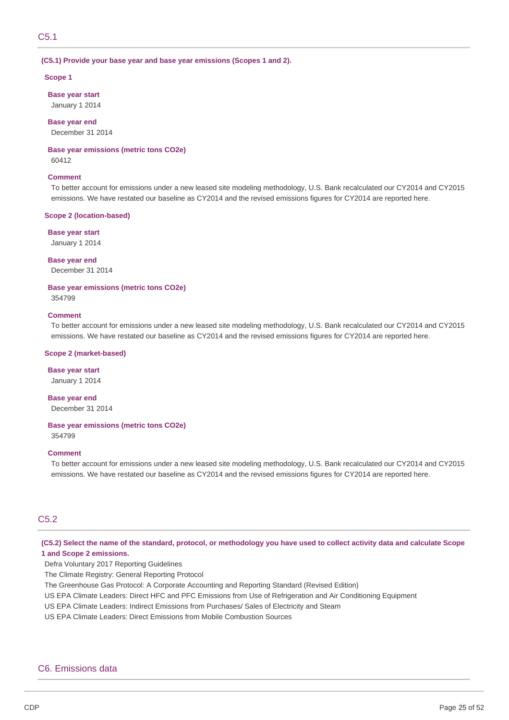#### **(C5.1) Provide your base year and base year emissions (Scopes 1 and 2).**

#### **Scope 1**

 **Base year start** January 1 2014

 **Base year end**

December 31 2014

## **Base year emissions (metric tons CO2e)**

60412

## **Comment**

 To better account for emissions under a new leased site modeling methodology, U.S. Bank recalculated our CY2014 and CY2015 emissions. We have restated our baseline as CY2014 and the revised emissions figures for CY2014 are reported here.

#### **Scope 2 (location-based)**

 **Base year start**

January 1 2014

 **Base year end** December 31 2014

 **Base year emissions (metric tons CO2e)**

354799

## **Comment**

 To better account for emissions under a new leased site modeling methodology, U.S. Bank recalculated our CY2014 and CY2015 emissions. We have restated our baseline as CY2014 and the revised emissions figures for CY2014 are reported here.

#### **Scope 2 (market-based)**

 **Base year start** January 1 2014

 **Base year end** December 31 2014

#### **Base year emissions (metric tons CO2e)**

354799

### **Comment**

 To better account for emissions under a new leased site modeling methodology, U.S. Bank recalculated our CY2014 and CY2015 emissions. We have restated our baseline as CY2014 and the revised emissions figures for CY2014 are reported here.

## C5.2

(C5.2) Select the name of the standard, protocol, or methodology you have used to collect activity data and calculate Scope  **1 and Scope 2 emissions.**

Defra Voluntary 2017 Reporting Guidelines

The Climate Registry: General Reporting Protocol

The Greenhouse Gas Protocol: A Corporate Accounting and Reporting Standard (Revised Edition)

US EPA Climate Leaders: Direct HFC and PFC Emissions from Use of Refrigeration and Air Conditioning Equipment

US EPA Climate Leaders: Indirect Emissions from Purchases/ Sales of Electricity and Steam

US EPA Climate Leaders: Direct Emissions from Mobile Combustion Sources

## C6. Emissions data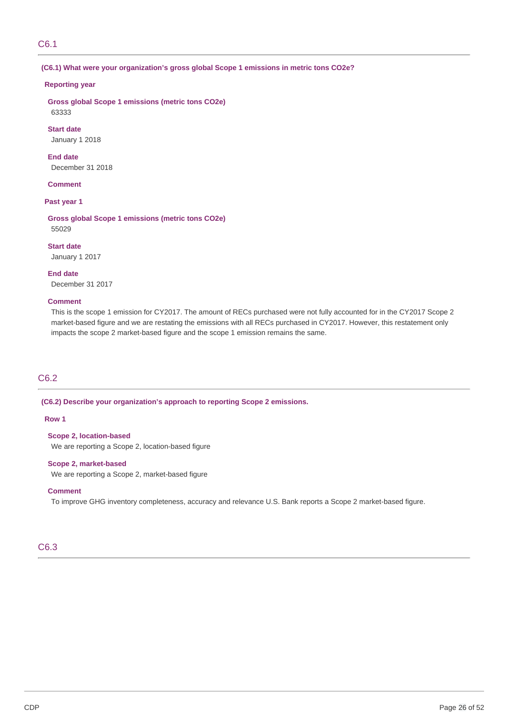## C6.1

### **(C6.1) What were your organization's gross global Scope 1 emissions in metric tons CO2e?**

### **Reporting year**

 **Gross global Scope 1 emissions (metric tons CO2e)** 63333

 January 1 2018 **Start date**

 December 31 2018 **End date**

### **Comment**

### **Past year 1**

 **Gross global Scope 1 emissions (metric tons CO2e)** 55029

 January 1 2017 **Start date**

 December 31 2017 **End date**

## **Comment**

 This is the scope 1 emission for CY2017. The amount of RECs purchased were not fully accounted for in the CY2017 Scope 2 market-based figure and we are restating the emissions with all RECs purchased in CY2017. However, this restatement only impacts the scope 2 market-based figure and the scope 1 emission remains the same.

## C6.2

#### **(C6.2) Describe your organization's approach to reporting Scope 2 emissions.**

## **Row 1**

 **Scope 2, location-based** We are reporting a Scope 2, location-based figure

## **Scope 2, market-based**

We are reporting a Scope 2, market-based figure

### **Comment**

To improve GHG inventory completeness, accuracy and relevance U.S. Bank reports a Scope 2 market-based figure.

## C6.3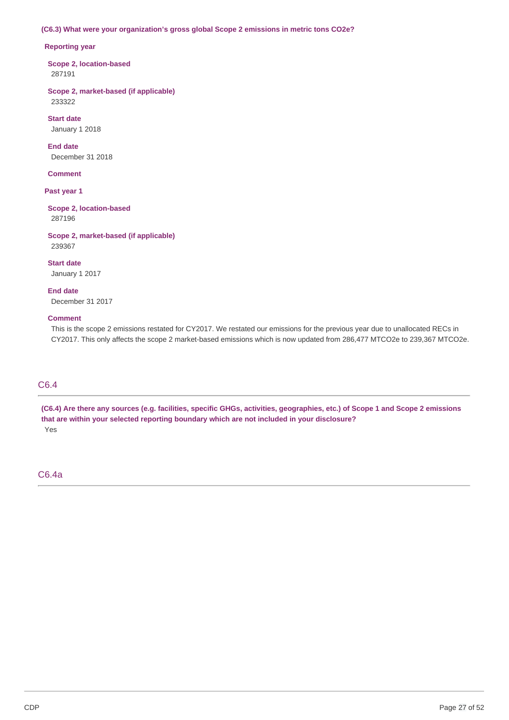### **(C6.3) What were your organization's gross global Scope 2 emissions in metric tons CO2e?**

### **Reporting year**

 **Scope 2, location-based** 287191

 **Scope 2, market-based (if applicable)** 233322

 January 1 2018 **Start date**

 December 31 2018 **End date**

## **Comment**

 **Past year 1**

 **Scope 2, location-based** 287196

 **Scope 2, market-based (if applicable)** 239367

 January 1 2017 **Start date**

 December 31 2017 **End date**

### **Comment**

 This is the scope 2 emissions restated for CY2017. We restated our emissions for the previous year due to unallocated RECs in CY2017. This only affects the scope 2 market-based emissions which is now updated from 286,477 MTCO2e to 239,367 MTCO2e.

## C6.4

(C6.4) Are there any sources (e.g. facilities, specific GHGs, activities, geographies, etc.) of Scope 1 and Scope 2 emissions  **that are within your selected reporting boundary which are not included in your disclosure?** Yes

C6.4a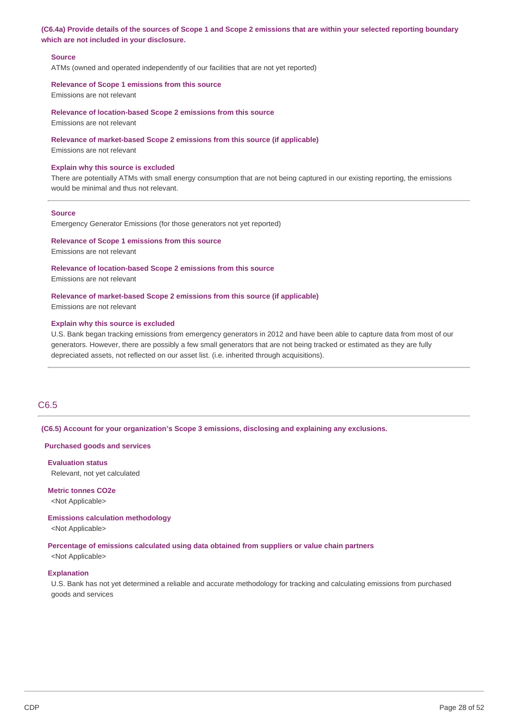## (C6.4a) Provide details of the sources of Scope 1 and Scope 2 emissions that are within your selected reporting boundary  **which are not included in your disclosure.**

#### **Source**

ATMs (owned and operated independently of our facilities that are not yet reported)

#### **Relevance of Scope 1 emissions from this source**

Emissions are not relevant

#### **Relevance of location-based Scope 2 emissions from this source**

Emissions are not relevant

#### **Relevance of market-based Scope 2 emissions from this source (if applicable)**

Emissions are not relevant

#### **Explain why this source is excluded**

 There are potentially ATMs with small energy consumption that are not being captured in our existing reporting, the emissions would be minimal and thus not relevant.

#### **Source**

Emergency Generator Emissions (for those generators not yet reported)

### **Relevance of Scope 1 emissions from this source**

Emissions are not relevant

#### **Relevance of location-based Scope 2 emissions from this source**

Emissions are not relevant

## **Relevance of market-based Scope 2 emissions from this source (if applicable)**

Emissions are not relevant

#### **Explain why this source is excluded**

 U.S. Bank began tracking emissions from emergency generators in 2012 and have been able to capture data from most of our generators. However, there are possibly a few small generators that are not being tracked or estimated as they are fully depreciated assets, not reflected on our asset list. (i.e. inherited through acquisitions).

## C6.5

 **(C6.5) Account for your organization's Scope 3 emissions, disclosing and explaining any exclusions.**

#### **Purchased goods and services**

 Relevant, not yet calculated **Evaluation status**

 **Metric tonnes CO2e** <Not Applicable>

#### **Emissions calculation methodology**

<Not Applicable>

#### **Percentage of emissions calculated using data obtained from suppliers or value chain partners**

<Not Applicable>

#### **Explanation**

 U.S. Bank has not yet determined a reliable and accurate methodology for tracking and calculating emissions from purchased goods and services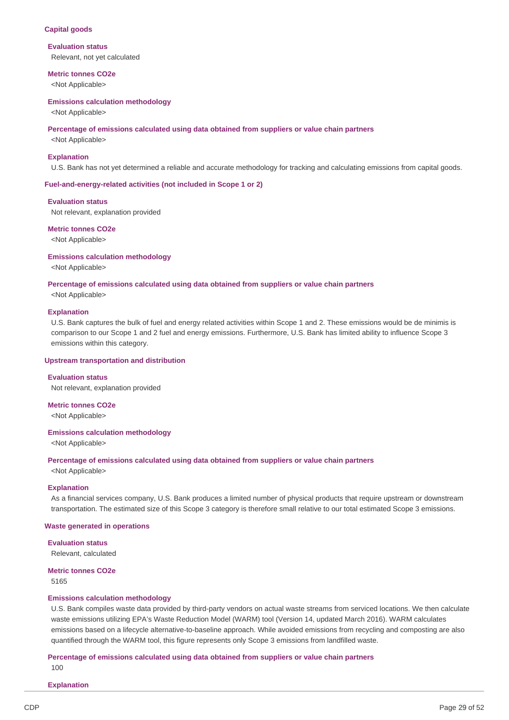#### **Capital goods**

#### **Evaluation status**

Relevant, not yet calculated

#### **Metric tonnes CO2e**

<Not Applicable>

#### **Emissions calculation methodology**

<Not Applicable>

#### **Percentage of emissions calculated using data obtained from suppliers or value chain partners**

<Not Applicable>

#### **Explanation**

U.S. Bank has not yet determined a reliable and accurate methodology for tracking and calculating emissions from capital goods.

#### **Fuel-and-energy-related activities (not included in Scope 1 or 2)**

#### **Evaluation status**

Not relevant, explanation provided

#### **Metric tonnes CO2e**

<Not Applicable>

### **Emissions calculation methodology**

<Not Applicable>

#### **Percentage of emissions calculated using data obtained from suppliers or value chain partners**

<Not Applicable>

### **Explanation**

 U.S. Bank captures the bulk of fuel and energy related activities within Scope 1 and 2. These emissions would be de minimis is comparison to our Scope 1 and 2 fuel and energy emissions. Furthermore, U.S. Bank has limited ability to influence Scope 3 emissions within this category.

#### **Upstream transportation and distribution**

### **Evaluation status**

Not relevant, explanation provided

# **Metric tonnes CO2e**

<Not Applicable>

### **Emissions calculation methodology**

<Not Applicable>

#### **Percentage of emissions calculated using data obtained from suppliers or value chain partners**

<Not Applicable>

#### **Explanation**

 As a financial services company, U.S. Bank produces a limited number of physical products that require upstream or downstream transportation. The estimated size of this Scope 3 category is therefore small relative to our total estimated Scope 3 emissions.

#### **Waste generated in operations**

## **Evaluation status**

Relevant, calculated

#### **Metric tonnes CO2e** 5165

#### **Emissions calculation methodology**

 U.S. Bank compiles waste data provided by third-party vendors on actual waste streams from serviced locations. We then calculate waste emissions utilizing EPA's Waste Reduction Model (WARM) tool (Version 14, updated March 2016). WARM calculates emissions based on a lifecycle alternative-to-baseline approach. While avoided emissions from recycling and composting are also quantified through the WARM tool, this figure represents only Scope 3 emissions from landfilled waste.

#### **Percentage of emissions calculated using data obtained from suppliers or value chain partners** 100

## **Explanation**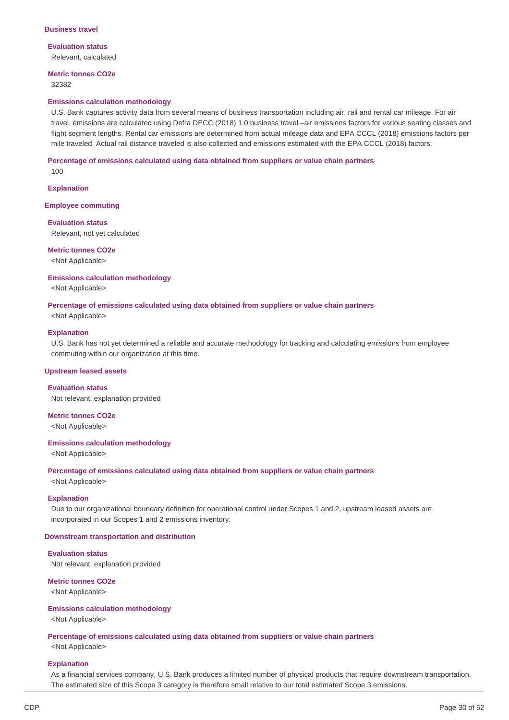#### **Business travel**

**Evaluation status** Relevant, calculated

 **Metric tonnes CO2e**

32382

#### **Emissions calculation methodology**

 U.S. Bank captures activity data from several means of business transportation including air, rail and rental car mileage. For air travel, emissions are calculated using Defra DECC (2018) 1.0 business travel –air emissions factors for various seating classes and flight segment lengths. Rental car emissions are determined from actual mileage data and EPA CCCL (2018) emissions factors per mile traveled. Actual rail distance traveled is also collected and emissions estimated with the EPA CCCL (2018) factors.

#### **Percentage of emissions calculated using data obtained from suppliers or value chain partners**

 $100$ 

#### **Explanation**

#### **Employee commuting**

#### **Evaluation status**

Relevant, not yet calculated

#### **Metric tonnes CO2e**

<Not Applicable>

#### **Emissions calculation methodology**

<Not Applicable>

#### **Percentage of emissions calculated using data obtained from suppliers or value chain partners**

<Not Applicable>

## **Explanation**

 U.S. Bank has not yet determined a reliable and accurate methodology for tracking and calculating emissions from employee commuting within our organization at this time.

#### **Upstream leased assets**

#### **Evaluation status**

Not relevant, explanation provided

 **Metric tonnes CO2e**

<Not Applicable>

### **Emissions calculation methodology**

<Not Applicable>

#### **Percentage of emissions calculated using data obtained from suppliers or value chain partners**

<Not Applicable>

#### **Explanation**

 Due to our organizational boundary definition for operational control under Scopes 1 and 2, upstream leased assets are incorporated in our Scopes 1 and 2 emissions inventory.

#### **Downstream transportation and distribution**

### **Evaluation status**

Not relevant, explanation provided

#### **Metric tonnes CO2e**

<Not Applicable>

### **Emissions calculation methodology**

<Not Applicable>

#### **Percentage of emissions calculated using data obtained from suppliers or value chain partners**

<Not Applicable>

#### **Explanation**

 As a financial services company, U.S. Bank produces a limited number of physical products that require downstream transportation. The estimated size of this Scope 3 category is therefore small relative to our total estimated Scope 3 emissions.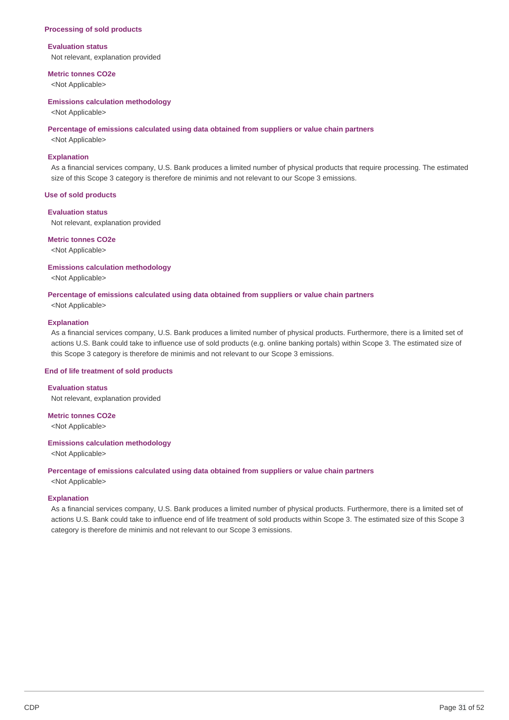#### **Processing of sold products**

#### **Evaluation status**

Not relevant, explanation provided

#### **Metric tonnes CO2e**

<Not Applicable>

#### **Emissions calculation methodology**

<Not Applicable>

#### **Percentage of emissions calculated using data obtained from suppliers or value chain partners**

<Not Applicable>

### **Explanation**

 As a financial services company, U.S. Bank produces a limited number of physical products that require processing. The estimated size of this Scope 3 category is therefore de minimis and not relevant to our Scope 3 emissions.

#### **Use of sold products**

#### **Evaluation status**

Not relevant, explanation provided

#### **Metric tonnes CO2e**

<Not Applicable>

### **Emissions calculation methodology**

<Not Applicable>

#### **Percentage of emissions calculated using data obtained from suppliers or value chain partners**

<Not Applicable>

### **Explanation**

 As a financial services company, U.S. Bank produces a limited number of physical products. Furthermore, there is a limited set of actions U.S. Bank could take to influence use of sold products (e.g. online banking portals) within Scope 3. The estimated size of this Scope 3 category is therefore de minimis and not relevant to our Scope 3 emissions.

#### **End of life treatment of sold products**

#### **Evaluation status**

Not relevant, explanation provided

 **Metric tonnes CO2e**

<Not Applicable>

### **Emissions calculation methodology**

<Not Applicable>

#### **Percentage of emissions calculated using data obtained from suppliers or value chain partners**

<Not Applicable>

#### **Explanation**

 As a financial services company, U.S. Bank produces a limited number of physical products. Furthermore, there is a limited set of actions U.S. Bank could take to influence end of life treatment of sold products within Scope 3. The estimated size of this Scope 3 category is therefore de minimis and not relevant to our Scope 3 emissions.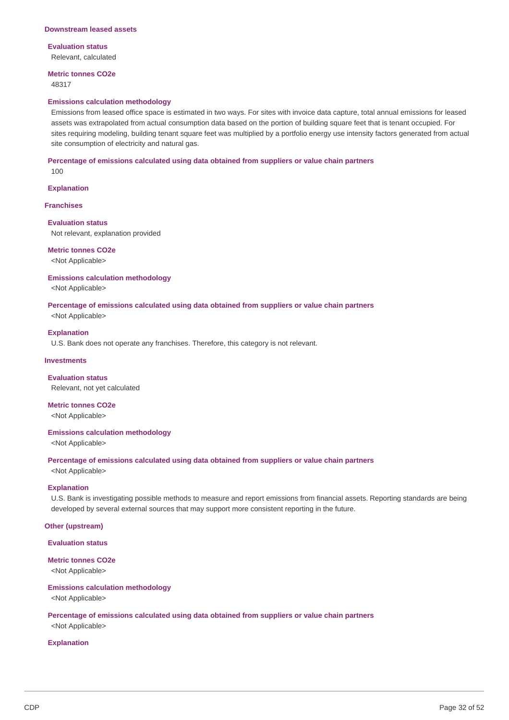#### **Downstream leased assets**

### **Evaluation status**

Relevant, calculated

## **Metric tonnes CO2e**

48317

#### **Emissions calculation methodology**

 Emissions from leased office space is estimated in two ways. For sites with invoice data capture, total annual emissions for leased assets was extrapolated from actual consumption data based on the portion of building square feet that is tenant occupied. For sites requiring modeling, building tenant square feet was multiplied by a portfolio energy use intensity factors generated from actual site consumption of electricity and natural gas.

### **Percentage of emissions calculated using data obtained from suppliers or value chain partners**

 $100$ 

#### **Explanation**

#### **Franchises**

#### **Evaluation status**

Not relevant, explanation provided

#### **Metric tonnes CO2e**

<Not Applicable>

### **Emissions calculation methodology**

<Not Applicable>

#### **Percentage of emissions calculated using data obtained from suppliers or value chain partners**

<Not Applicable>

## **Explanation**

U.S. Bank does not operate any franchises. Therefore, this category is not relevant.

### **Investments**

 Relevant, not yet calculated **Evaluation status**

## **Metric tonnes CO2e**

<Not Applicable>

#### **Emissions calculation methodology**

<Not Applicable>

#### **Percentage of emissions calculated using data obtained from suppliers or value chain partners**

<Not Applicable>

### **Explanation**

 U.S. Bank is investigating possible methods to measure and report emissions from financial assets. Reporting standards are being developed by several external sources that may support more consistent reporting in the future.

### **Other (upstream)**

### **Evaluation status**

#### **Metric tonnes CO2e**

<Not Applicable>

### **Emissions calculation methodology**

<Not Applicable>

### **Percentage of emissions calculated using data obtained from suppliers or value chain partners** <Not Applicable>

## **Explanation**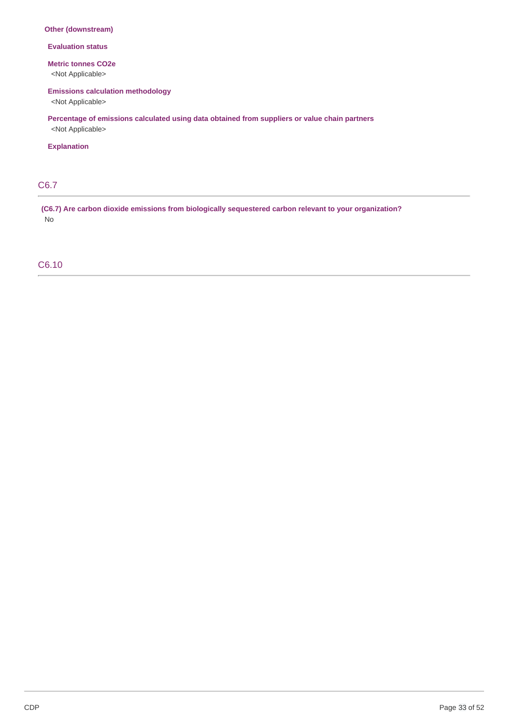## **Other (downstream)**

**Evaluation status**

### **Metric tonnes CO2e**

<Not Applicable>

## **Emissions calculation methodology**

<Not Applicable>

 **Percentage of emissions calculated using data obtained from suppliers or value chain partners**

<Not Applicable>

## **Explanation**

# C6.7

 **(C6.7) Are carbon dioxide emissions from biologically sequestered carbon relevant to your organization?** No

## C6.10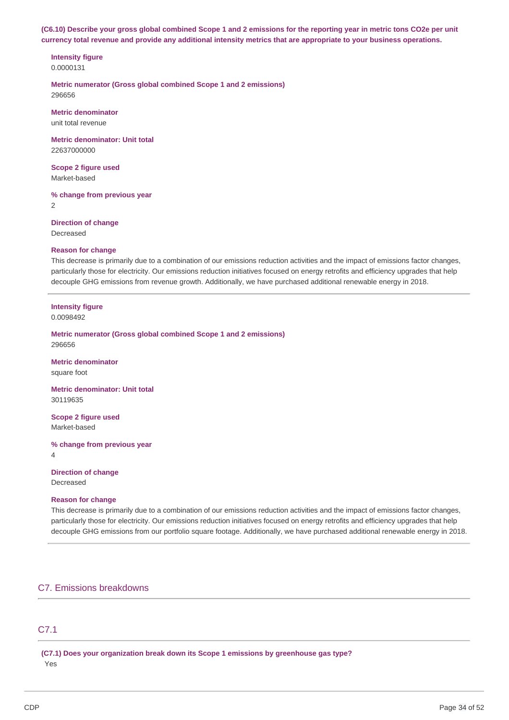(C6.10) Describe your gross global combined Scope 1 and 2 emissions for the reporting year in metric tons CO2e per unit currency total revenue and provide any additional intensity metrics that are appropriate to your business operations.

# **Intensity figure**

0.0000131

 **Metric numerator (Gross global combined Scope 1 and 2 emissions)** 296656

# **Metric denominator**

unit total revenue

 **Metric denominator: Unit total** 22637000000

 **Scope 2 figure used** Market-based

 **% change from previous year**

2

 **Direction of change**

Decreased

## **Reason for change**

 This decrease is primarily due to a combination of our emissions reduction activities and the impact of emissions factor changes, particularly those for electricity. Our emissions reduction initiatives focused on energy retrofits and efficiency upgrades that help decouple GHG emissions from revenue growth. Additionally, we have purchased additional renewable energy in 2018.

## **Intensity figure**

0.0098492

 **Metric numerator (Gross global combined Scope 1 and 2 emissions)** 296656

**Metric denominator** square foot

 **Metric denominator: Unit total** 30119635

 **Scope 2 figure used** Market-based

 **% change from previous year**

4

 **Direction of change**

Decreased

## **Reason for change**

 This decrease is primarily due to a combination of our emissions reduction activities and the impact of emissions factor changes, particularly those for electricity. Our emissions reduction initiatives focused on energy retrofits and efficiency upgrades that help decouple GHG emissions from our portfolio square footage. Additionally, we have purchased additional renewable energy in 2018.

## C7. Emissions breakdowns

## C7.1

 **(C7.1) Does your organization break down its Scope 1 emissions by greenhouse gas type?** Yes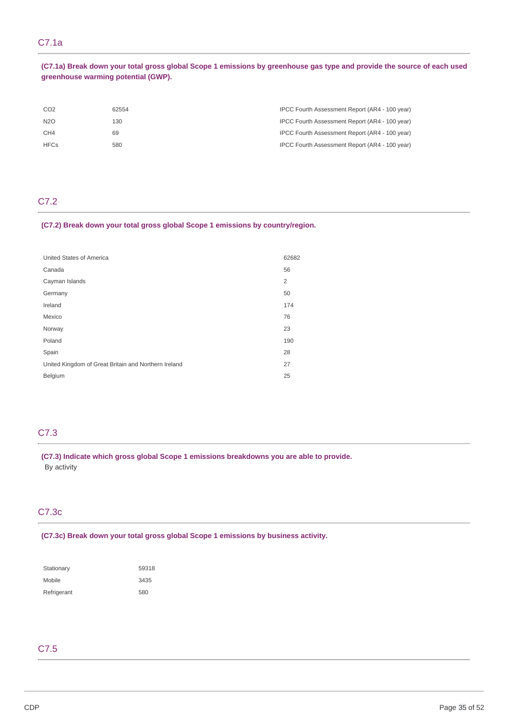# C7.1a

(C7.1a) Break down your total gross global Scope 1 emissions by greenhouse gas type and provide the source of each used  **greenhouse warming potential (GWP).**

| CO <sub>2</sub> | 62554 | IPCC Fourth Assessment Report (AR4 - 100 year) |
|-----------------|-------|------------------------------------------------|
| N2O             | 130   | IPCC Fourth Assessment Report (AR4 - 100 year) |
| CH <sub>4</sub> | 69    | IPCC Fourth Assessment Report (AR4 - 100 year) |
| <b>HFCs</b>     | 580   | IPCC Fourth Assessment Report (AR4 - 100 year) |

## C7.2

## **(C7.2) Break down your total gross global Scope 1 emissions by country/region.**

| United States of America                             | 62682 |
|------------------------------------------------------|-------|
| Canada                                               | 56    |
| Cayman Islands                                       | 2     |
| Germany                                              | 50    |
| Ireland                                              | 174   |
| Mexico                                               | 76    |
| Norway                                               | 23    |
| Poland                                               | 190   |
| Spain                                                | 28    |
| United Kingdom of Great Britain and Northern Ireland | 27    |
| Belgium                                              | 25    |

## C7.3

 **(C7.3) Indicate which gross global Scope 1 emissions breakdowns you are able to provide.** By activity

## C7.3c

#### **(C7.3c) Break down your total gross global Scope 1 emissions by business activity.**

| Stationary  | 59318 |
|-------------|-------|
| Mobile      | 3435  |
| Refrigerant | 580   |

## C7.5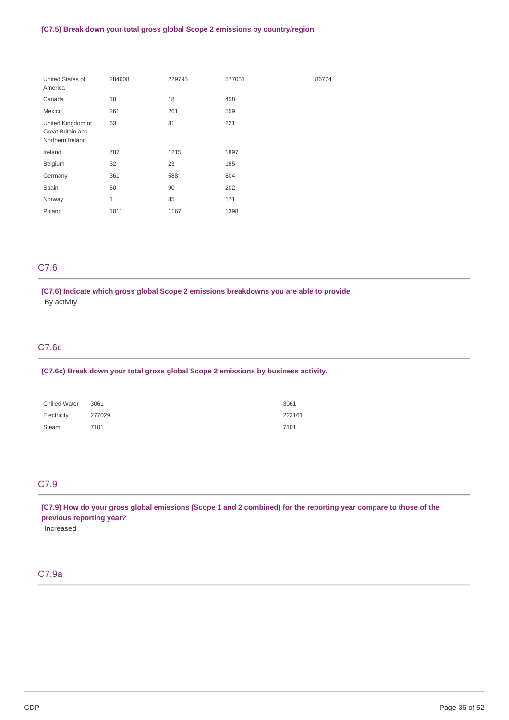| United States of<br>America                                | 284608 | 229795 | 577051 | 86774 |
|------------------------------------------------------------|--------|--------|--------|-------|
| Canada                                                     | 18     | 18     | 458    |       |
| Mexico                                                     | 261    | 261    | 559    |       |
| United Kingdom of<br>Great Britain and<br>Northern Ireland | 63     | 81     | 221    |       |
| Ireland                                                    | 787    | 1215   | 1897   |       |
| Belgium                                                    | 32     | 23     | 185    |       |
| Germany                                                    | 361    | 588    | 804    |       |
| Spain                                                      | 50     | 90     | 202    |       |
| Norway                                                     | 1      | 85     | 171    |       |
| Poland                                                     | 1011   | 1167   | 1398   |       |

# C7.6

 **(C7.6) Indicate which gross global Scope 2 emissions breakdowns you are able to provide.** By activity

## C7.6c

#### **(C7.6c) Break down your total gross global Scope 2 emissions by business activity.**

| <b>Chilled Water</b> | 3061   | 3061   |
|----------------------|--------|--------|
| Electricity          | 277029 | 223161 |
| Steam                | 7101   | 7101   |

# C7.9

(C7.9) How do your gross global emissions (Scope 1 and 2 combined) for the reporting year compare to those of the  **previous reporting year?**

Increased

## C7.9a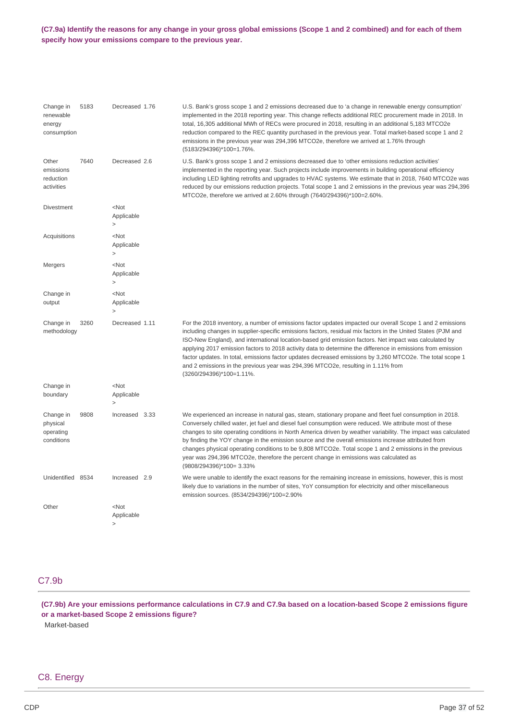### (C7.9a) Identify the reasons for any change in your gross global emissions (Scope 1 and 2 combined) and for each of them  **specify how your emissions compare to the previous year.**

| Change in<br>renewable<br>energy<br>consumption  | 5183 | Decreased 1.76                    | U.S. Bank's gross scope 1 and 2 emissions decreased due to 'a change in renewable energy consumption'<br>implemented in the 2018 reporting year. This change reflects additional REC procurement made in 2018. In<br>total, 16,305 additional MWh of RECs were procured in 2018, resulting in an additional 5,183 MTCO2e<br>reduction compared to the REC quantity purchased in the previous year. Total market-based scope 1 and 2<br>emissions in the previous year was 294,396 MTCO2e, therefore we arrived at 1.76% through<br>(5183/294396)*100=1.76%.                                                                                                                     |
|--------------------------------------------------|------|-----------------------------------|---------------------------------------------------------------------------------------------------------------------------------------------------------------------------------------------------------------------------------------------------------------------------------------------------------------------------------------------------------------------------------------------------------------------------------------------------------------------------------------------------------------------------------------------------------------------------------------------------------------------------------------------------------------------------------|
| Other<br>emissions<br>reduction<br>activities    | 7640 | Decreased 2.6                     | U.S. Bank's gross scope 1 and 2 emissions decreased due to 'other emissions reduction activities'<br>implemented in the reporting year. Such projects include improvements in building operational efficiency<br>including LED lighting retrofits and upgrades to HVAC systems. We estimate that in 2018, 7640 MTCO2e was<br>reduced by our emissions reduction projects. Total scope 1 and 2 emissions in the previous year was 294,396<br>MTCO2e, therefore we arrived at 2.60% through (7640/294396)*100=2.60%.                                                                                                                                                              |
| <b>Divestment</b>                                |      | $<$ Not<br>Applicable<br>$\geq$   |                                                                                                                                                                                                                                                                                                                                                                                                                                                                                                                                                                                                                                                                                 |
| Acquisitions                                     |      | $<$ Not<br>Applicable<br>$\rm{~}$ |                                                                                                                                                                                                                                                                                                                                                                                                                                                                                                                                                                                                                                                                                 |
| Mergers                                          |      | $<$ Not<br>Applicable<br>$\geq$   |                                                                                                                                                                                                                                                                                                                                                                                                                                                                                                                                                                                                                                                                                 |
| Change in<br>output                              |      | $<$ Not<br>Applicable<br>$\geq$   |                                                                                                                                                                                                                                                                                                                                                                                                                                                                                                                                                                                                                                                                                 |
| Change in<br>methodology                         | 3260 | Decreased 1.11                    | For the 2018 inventory, a number of emissions factor updates impacted our overall Scope 1 and 2 emissions<br>including changes in supplier-specific emissions factors, residual mix factors in the United States (PJM and<br>ISO-New England), and international location-based grid emission factors. Net impact was calculated by<br>applying 2017 emission factors to 2018 activity data to determine the difference in emissions from emission<br>factor updates. In total, emissions factor updates decreased emissions by 3,260 MTCO2e. The total scope 1<br>and 2 emissions in the previous year was 294,396 MTCO2e, resulting in 1.11% from<br>(3260/294396)*100=1.11%. |
| Change in<br>boundary                            |      | $<$ Not<br>Applicable<br>$\geq$   |                                                                                                                                                                                                                                                                                                                                                                                                                                                                                                                                                                                                                                                                                 |
| Change in<br>physical<br>operating<br>conditions | 9808 | Increased 3.33                    | We experienced an increase in natural gas, steam, stationary propane and fleet fuel consumption in 2018.<br>Conversely chilled water, jet fuel and diesel fuel consumption were reduced. We attribute most of these<br>changes to site operating conditions in North America driven by weather variability. The impact was calculated<br>by finding the YOY change in the emission source and the overall emissions increase attributed from<br>changes physical operating conditions to be 9,808 MTCO2e. Total scope 1 and 2 emissions in the previous<br>year was 294,396 MTCO2e, therefore the percent change in emissions was calculated as<br>(9808/294396)*100= 3.33%     |
| Unidentified 8534                                |      | Increased 2.9                     | We were unable to identify the exact reasons for the remaining increase in emissions, however, this is most<br>likely due to variations in the number of sites, YoY consumption for electricity and other miscellaneous<br>emission sources. (8534/294396)*100=2.90%                                                                                                                                                                                                                                                                                                                                                                                                            |
| Other                                            |      | $<$ Not<br>Applicable<br>$\rm{~}$ |                                                                                                                                                                                                                                                                                                                                                                                                                                                                                                                                                                                                                                                                                 |

# C7.9b

(C7.9b) Are your emissions performance calculations in C7.9 and C7.9a based on a location-based Scope 2 emissions figure  **or a market-based Scope 2 emissions figure?** Market-based

## C8. Energy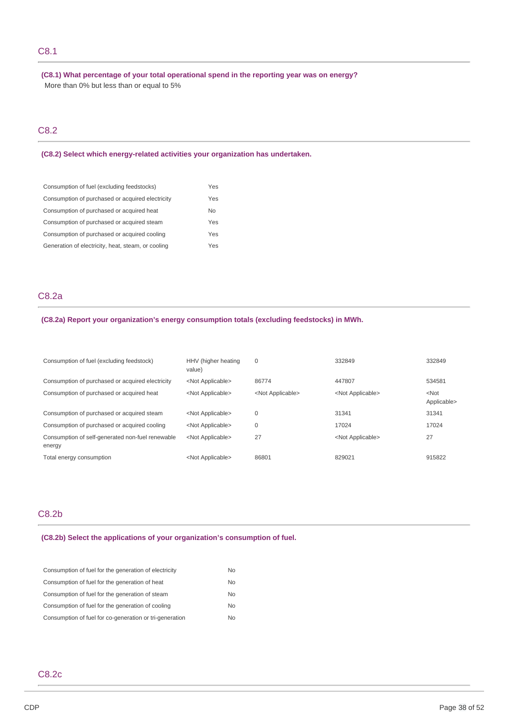## C8.1

 **(C8.1) What percentage of your total operational spend in the reporting year was on energy?** More than 0% but less than or equal to 5%

## C8.2

 **(C8.2) Select which energy-related activities your organization has undertaken.**

| Consumption of fuel (excluding feedstocks)         | Yes            |
|----------------------------------------------------|----------------|
| Consumption of purchased or acquired electricity   | Yes            |
| Consumption of purchased or acquired heat          | N <sub>0</sub> |
| Consumption of purchased or acquired steam         | Yes            |
| Consumption of purchased or acquired cooling       | Yes            |
| Generation of electricity, heat, steam, or cooling | Yes            |

## C8.2a

#### **(C8.2a) Report your organization's energy consumption totals (excluding feedstocks) in MWh.**

| Consumption of fuel (excluding feedstock)                  | HHV (higher heating<br>value) | 0                         | 332849                    | 332849                 |
|------------------------------------------------------------|-------------------------------|---------------------------|---------------------------|------------------------|
| Consumption of purchased or acquired electricity           | <not applicable=""></not>     | 86774                     | 447807                    | 534581                 |
| Consumption of purchased or acquired heat                  | <not applicable=""></not>     | <not applicable=""></not> | <not applicable=""></not> | $<$ Not<br>Applicable> |
| Consumption of purchased or acquired steam                 | <not applicable=""></not>     | 0                         | 31341                     | 31341                  |
| Consumption of purchased or acquired cooling               | <not applicable=""></not>     | 0                         | 17024                     | 17024                  |
| Consumption of self-generated non-fuel renewable<br>energy | <not applicable=""></not>     | 27                        | <not applicable=""></not> | 27                     |
| Total energy consumption                                   | <not applicable=""></not>     | 86801                     | 829021                    | 915822                 |

## C8.2b

## **(C8.2b) Select the applications of your organization's consumption of fuel.**

| No. |
|-----|
| No. |
| No. |
| No. |
| No. |
|     |

## C8.2c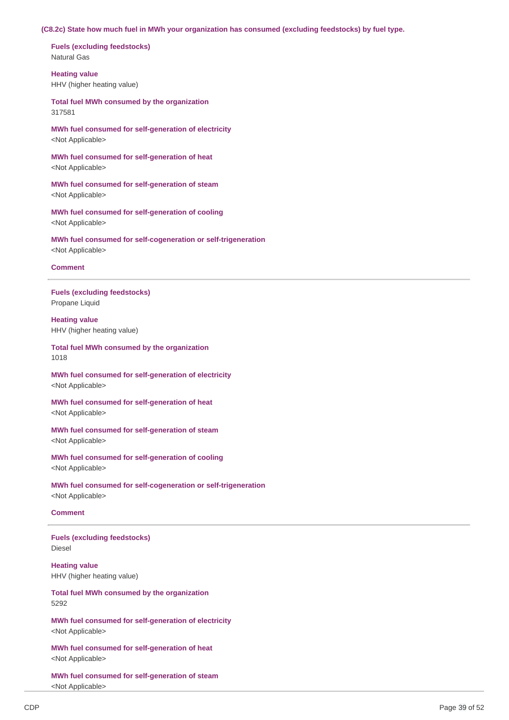#### **(C8.2c) State how much fuel in MWh your organization has consumed (excluding feedstocks) by fuel type.**

 **Fuels (excluding feedstocks)** Natural Gas

 HHV (higher heating value) **Heating value**

 **Total fuel MWh consumed by the organization** 317581

 **MWh fuel consumed for self-generation of electricity** <Not Applicable>

 **MWh fuel consumed for self-generation of heat** <Not Applicable>

 **MWh fuel consumed for self-generation of steam** <Not Applicable>

 **MWh fuel consumed for self-generation of cooling** <Not Applicable>

 **MWh fuel consumed for self-cogeneration or self-trigeneration** <Not Applicable>

### **Comment**

 **Fuels (excluding feedstocks)** Propane Liquid

 HHV (higher heating value) **Heating value**

#### **Total fuel MWh consumed by the organization** 1018

 **MWh fuel consumed for self-generation of electricity** <Not Applicable>

 **MWh fuel consumed for self-generation of heat** <Not Applicable>

 **MWh fuel consumed for self-generation of steam** <Not Applicable>

 **MWh fuel consumed for self-generation of cooling** <Not Applicable>

 **MWh fuel consumed for self-cogeneration or self-trigeneration** <Not Applicable>

## **Comment**

 **Fuels (excluding feedstocks)** Diesel

 HHV (higher heating value) **Heating value**

 **Total fuel MWh consumed by the organization** 5292

 **MWh fuel consumed for self-generation of electricity** <Not Applicable>

 **MWh fuel consumed for self-generation of heat** <Not Applicable>

 **MWh fuel consumed for self-generation of steam** <Not Applicable>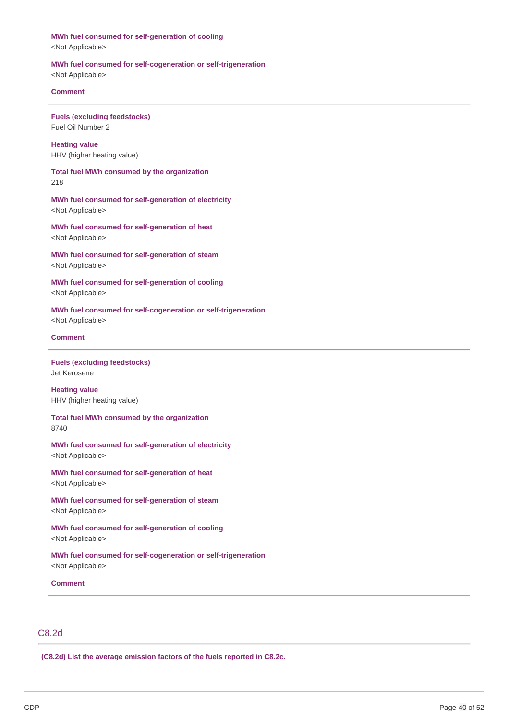#### **MWh fuel consumed for self-generation of cooling**

<Not Applicable>

### **MWh fuel consumed for self-cogeneration or self-trigeneration**

<Not Applicable>

## **Comment**

 **Fuels (excluding feedstocks)** Fuel Oil Number 2

 HHV (higher heating value) **Heating value**

 **Total fuel MWh consumed by the organization** 218

 **MWh fuel consumed for self-generation of electricity** <Not Applicable>

 **MWh fuel consumed for self-generation of heat** <Not Applicable>

 **MWh fuel consumed for self-generation of steam** <Not Applicable>

 **MWh fuel consumed for self-generation of cooling** <Not Applicable>

 **MWh fuel consumed for self-cogeneration or self-trigeneration** <Not Applicable>

### **Comment**

 **Fuels (excluding feedstocks)** Jet Kerosene

 HHV (higher heating value) **Heating value**

 **Total fuel MWh consumed by the organization** 8740

 **MWh fuel consumed for self-generation of electricity** <Not Applicable>

 **MWh fuel consumed for self-generation of heat** <Not Applicable>

 **MWh fuel consumed for self-generation of steam** <Not Applicable>

 **MWh fuel consumed for self-generation of cooling** <Not Applicable>

 **MWh fuel consumed for self-cogeneration or self-trigeneration** <Not Applicable>

**Comment**

# C8.2d

 **(C8.2d) List the average emission factors of the fuels reported in C8.2c.**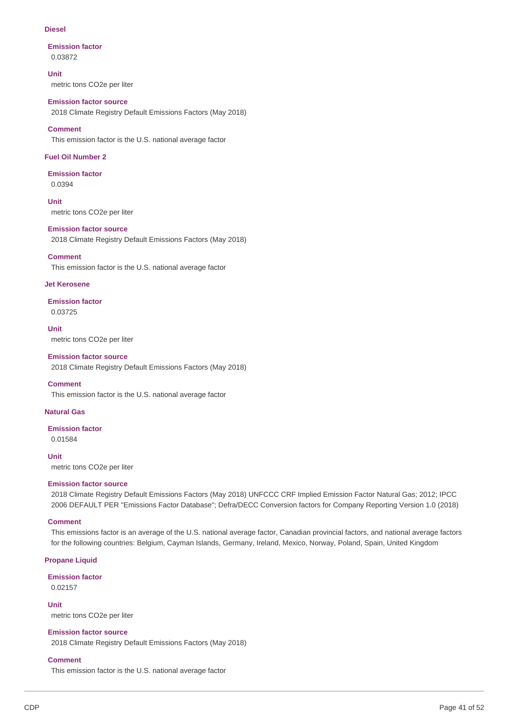### **Diesel**

## **Emission factor** 0.03872

**Unit**

metric tons CO2e per liter

## **Emission factor source**

2018 Climate Registry Default Emissions Factors (May 2018)

## **Comment**

This emission factor is the U.S. national average factor

## **Fuel Oil Number 2**

## **Emission factor** 0.0394

 metric tons CO2e per liter **Unit**

## **Emission factor source**

2018 Climate Registry Default Emissions Factors (May 2018)

## **Comment**

This emission factor is the U.S. national average factor

## **Jet Kerosene**

**Emission factor** 0.03725

## **Unit**

metric tons CO2e per liter

## **Emission factor source**

2018 Climate Registry Default Emissions Factors (May 2018)

## **Comment**

This emission factor is the U.S. national average factor

## **Natural Gas**

## **Emission factor**

0.01584

 metric tons CO2e per liter **Unit**

## **Emission factor source**

 2018 Climate Registry Default Emissions Factors (May 2018) UNFCCC CRF Implied Emission Factor Natural Gas; 2012; IPCC 2006 DEFAULT PER "Emissions Factor Database"; Defra/DECC Conversion factors for Company Reporting Version 1.0 (2018)

## **Comment**

 This emissions factor is an average of the U.S. national average factor, Canadian provincial factors, and national average factors for the following countries: Belgium, Cayman Islands, Germany, Ireland, Mexico, Norway, Poland, Spain, United Kingdom

## **Propane Liquid**

## **Emission factor**

0.02157

 metric tons CO2e per liter **Unit**

## **Emission factor source**

2018 Climate Registry Default Emissions Factors (May 2018)

## **Comment**

This emission factor is the U.S. national average factor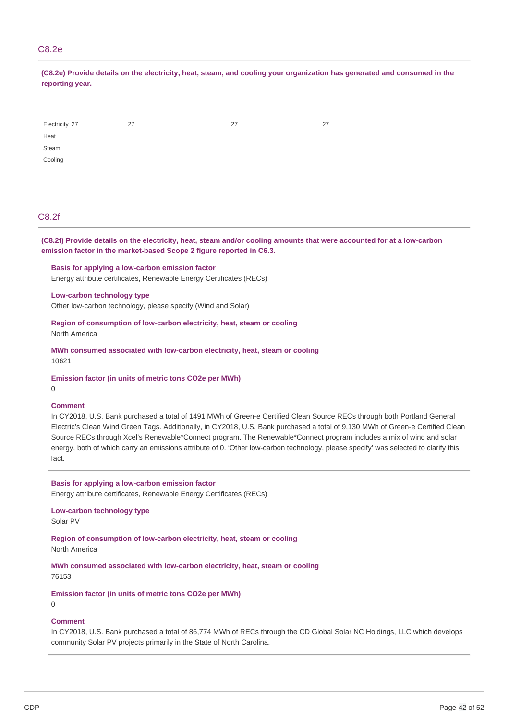## C8.2e

(C8.2e) Provide details on the electricity, heat, steam, and cooling your organization has generated and consumed in the **reporting year.**

| Electricity 27 | 27 | 27 | 27 |
|----------------|----|----|----|
| Heat           |    |    |    |
| Steam          |    |    |    |
| Cooling        |    |    |    |

## C8.2f

(C8.2f) Provide details on the electricity, heat, steam and/or cooling amounts that were accounted for at a low-carbon  **emission factor in the market-based Scope 2 figure reported in C6.3.**

 **Basis for applying a low-carbon emission factor** Energy attribute certificates, Renewable Energy Certificates (RECs)

**Low-carbon technology type**

Other low-carbon technology, please specify (Wind and Solar)

 **Region of consumption of low-carbon electricity, heat, steam or cooling** North America

 **MWh consumed associated with low-carbon electricity, heat, steam or cooling** 10621

 **Emission factor (in units of metric tons CO2e per MWh)**

0

## **Comment**

 In CY2018, U.S. Bank purchased a total of 1491 MWh of Green-e Certified Clean Source RECs through both Portland General Electric's Clean Wind Green Tags. Additionally, in CY2018, U.S. Bank purchased a total of 9,130 MWh of Green-e Certified Clean Source RECs through Xcel's Renewable\*Connect program. The Renewable\*Connect program includes a mix of wind and solar energy, both of which carry an emissions attribute of 0. 'Other low-carbon technology, please specify' was selected to clarify this fact.

 **Basis for applying a low-carbon emission factor** Energy attribute certificates, Renewable Energy Certificates (RECs)

**Low-carbon technology type** Solar PV

 **Region of consumption of low-carbon electricity, heat, steam or cooling** North America

 **MWh consumed associated with low-carbon electricity, heat, steam or cooling** 76153

 **Emission factor (in units of metric tons CO2e per MWh)**

 $\Omega$ 

## **Comment**

 In CY2018, U.S. Bank purchased a total of 86,774 MWh of RECs through the CD Global Solar NC Holdings, LLC which develops community Solar PV projects primarily in the State of North Carolina.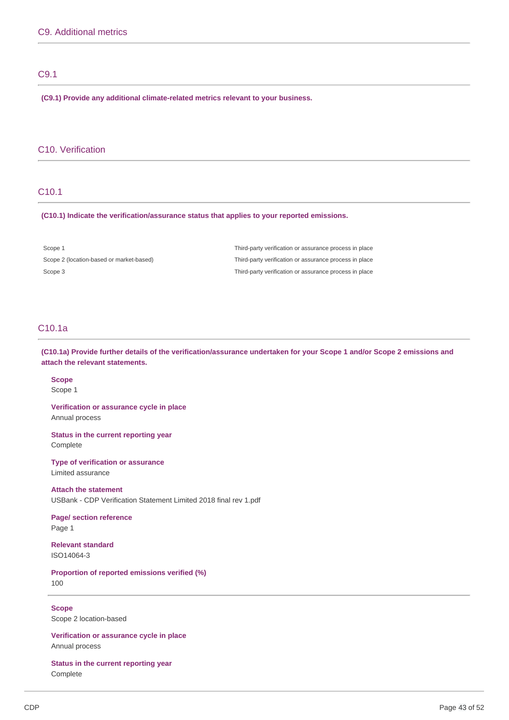## C9.1

 **(C9.1) Provide any additional climate-related metrics relevant to your business.**

## C10. Verification

## C10.1

 **(C10.1) Indicate the verification/assurance status that applies to your reported emissions.**

| Scope 1                                  | Third-party verification or assurance process in place |
|------------------------------------------|--------------------------------------------------------|
| Scope 2 (location-based or market-based) | Third-party verification or assurance process in place |
| Scope 3                                  | Third-party verification or assurance process in place |

## C10.1a

(C10.1a) Provide further details of the verification/assurance undertaken for your Scope 1 and/or Scope 2 emissions and  **attach the relevant statements.**

## **Scope** Scope 1

 **Verification or assurance cycle in place** Annual process

 **Status in the current reporting year** Complete

 **Type of verification or assurance** Limited assurance

 **Attach the statement** USBank - CDP Verification Statement Limited 2018 final rev 1.pdf

 **Page/ section reference** Page 1

**Relevant standard** ISO14064-3

 **Proportion of reported emissions verified (%)** 100

 Scope 2 location-based **Scope**

 **Verification or assurance cycle in place** Annual process

 **Status in the current reporting year** Complete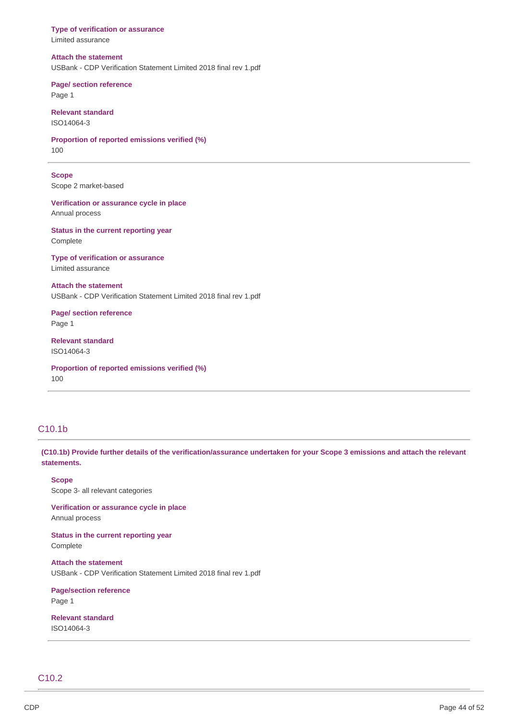**Type of verification or assurance Attach the statement** USBank - CDP Verification Statement Limited 2018 final rev 1.pdf  **Page/ section reference Proportion of reported emissions verified (%)** Scope 2 market-based  **Verification or assurance cycle in place Status in the current reporting year Type of verification or assurance Attach the statement** USBank - CDP Verification Statement Limited 2018 final rev 1.pdf  **Page/ section reference Proportion of reported emissions verified (%)** Limited assurance Page 1 **Relevant standard** ISO14064-3 100 **Scope** Annual process Complete Limited assurance Page 1 **Relevant standard** ISO14064-3 100

# C10.1b

(C10.1b) Provide further details of the verification/assurance undertaken for your Scope 3 emissions and attach the relevant **statements.**

 Scope 3- all relevant categories **Scope**

 **Verification or assurance cycle in place** Annual process

 **Status in the current reporting year** Complete

 **Attach the statement** USBank - CDP Verification Statement Limited 2018 final rev 1.pdf

**Page/section reference** Page 1

**Relevant standard** ISO14064-3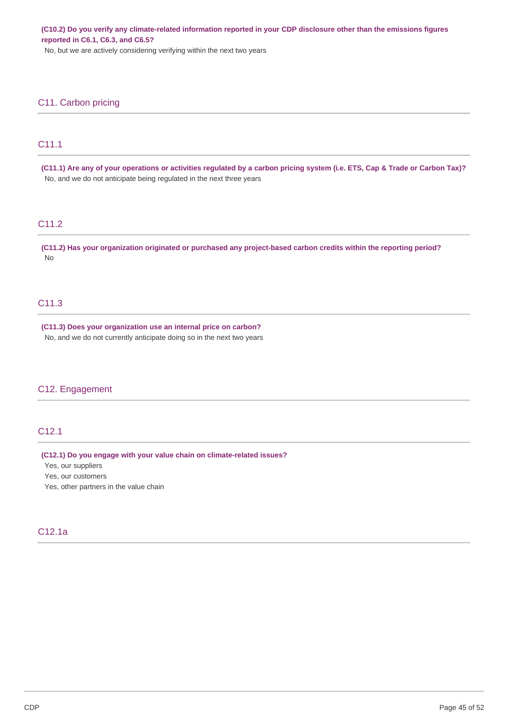(C10.2) Do you verify any climate-related information reported in your CDP disclosure other than the emissions figures  **reported in C6.1, C6.3, and C6.5?**

No, but we are actively considering verifying within the next two years

## C11. Carbon pricing

## C11.1

(C11.1) Are any of your operations or activities regulated by a carbon pricing system (i.e. ETS, Cap & Trade or Carbon Tax)? No, and we do not anticipate being regulated in the next three years

## C11.2

(C11.2) Has your organization originated or purchased any project-based carbon credits within the reporting period? No

## C11.3

 **(C11.3) Does your organization use an internal price on carbon?** No, and we do not currently anticipate doing so in the next two years

## C12. Engagement

## C12.1

 **(C12.1) Do you engage with your value chain on climate-related issues?**

Yes, our suppliers

Yes, our customers

Yes, other partners in the value chain

## C12.1a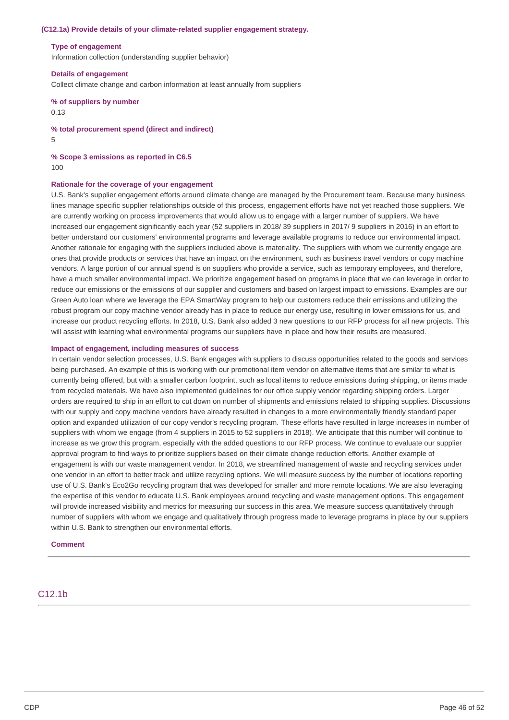#### **(C12.1a) Provide details of your climate-related supplier engagement strategy.**

#### **Type of engagement**

Information collection (understanding supplier behavior)

### **Details of engagement**

Collect climate change and carbon information at least annually from suppliers

## **% of suppliers by number** 0.13

 **% total procurement spend (direct and indirect)** 5

#### **% Scope 3 emissions as reported in C6.5** 100

#### **Rationale for the coverage of your engagement**

 U.S. Bank's supplier engagement efforts around climate change are managed by the Procurement team. Because many business lines manage specific supplier relationships outside of this process, engagement efforts have not yet reached those suppliers. We are currently working on process improvements that would allow us to engage with a larger number of suppliers. We have increased our engagement significantly each year (52 suppliers in 2018/ 39 suppliers in 2017/ 9 suppliers in 2016) in an effort to better understand our customers' environmental programs and leverage available programs to reduce our environmental impact. Another rationale for engaging with the suppliers included above is materiality. The suppliers with whom we currently engage are ones that provide products or services that have an impact on the environment, such as business travel vendors or copy machine vendors. A large portion of our annual spend is on suppliers who provide a service, such as temporary employees, and therefore, have a much smaller environmental impact. We prioritize engagement based on programs in place that we can leverage in order to reduce our emissions or the emissions of our supplier and customers and based on largest impact to emissions. Examples are our Green Auto loan where we leverage the EPA SmartWay program to help our customers reduce their emissions and utilizing the robust program our copy machine vendor already has in place to reduce our energy use, resulting in lower emissions for us, and increase our product recycling efforts. In 2018, U.S. Bank also added 3 new questions to our RFP process for all new projects. This will assist with learning what environmental programs our suppliers have in place and how their results are measured.

#### **Impact of engagement, including measures of success**

 In certain vendor selection processes, U.S. Bank engages with suppliers to discuss opportunities related to the goods and services being purchased. An example of this is working with our promotional item vendor on alternative items that are similar to what is currently being offered, but with a smaller carbon footprint, such as local items to reduce emissions during shipping, or items made from recycled materials. We have also implemented guidelines for our office supply vendor regarding shipping orders. Larger orders are required to ship in an effort to cut down on number of shipments and emissions related to shipping supplies. Discussions with our supply and copy machine vendors have already resulted in changes to a more environmentally friendly standard paper option and expanded utilization of our copy vendor's recycling program. These efforts have resulted in large increases in number of suppliers with whom we engage (from 4 suppliers in 2015 to 52 suppliers in 2018). We anticipate that this number will continue to increase as we grow this program, especially with the added questions to our RFP process. We continue to evaluate our supplier approval program to find ways to prioritize suppliers based on their climate change reduction efforts. Another example of engagement is with our waste management vendor. In 2018, we streamlined management of waste and recycling services under one vendor in an effort to better track and utilize recycling options. We will measure success by the number of locations reporting use of U.S. Bank's Eco2Go recycling program that was developed for smaller and more remote locations. We are also leveraging the expertise of this vendor to educate U.S. Bank employees around recycling and waste management options. This engagement will provide increased visibility and metrics for measuring our success in this area. We measure success quantitatively through number of suppliers with whom we engage and qualitatively through progress made to leverage programs in place by our suppliers within U.S. Bank to strengthen our environmental efforts.

#### **Comment**

## C12.1b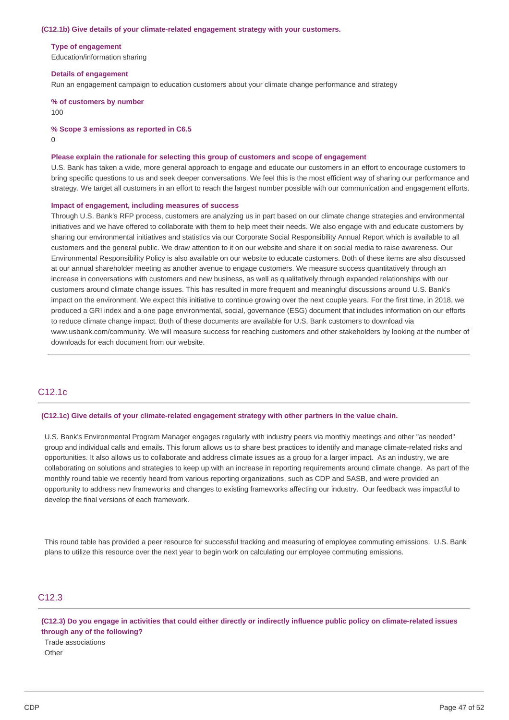#### **(C12.1b) Give details of your climate-related engagement strategy with your customers.**

#### **Type of engagement**

Education/information sharing

#### **Details of engagement**

Run an engagement campaign to education customers about your climate change performance and strategy

 **% of customers by number** 100

#### **% Scope 3 emissions as reported in C6.5**

0

#### **Please explain the rationale for selecting this group of customers and scope of engagement**

 U.S. Bank has taken a wide, more general approach to engage and educate our customers in an effort to encourage customers to bring specific questions to us and seek deeper conversations. We feel this is the most efficient way of sharing our performance and strategy. We target all customers in an effort to reach the largest number possible with our communication and engagement efforts.

#### **Impact of engagement, including measures of success**

 Through U.S. Bank's RFP process, customers are analyzing us in part based on our climate change strategies and environmental initiatives and we have offered to collaborate with them to help meet their needs. We also engage with and educate customers by sharing our environmental initiatives and statistics via our Corporate Social Responsibility Annual Report which is available to all customers and the general public. We draw attention to it on our website and share it on social media to raise awareness. Our Environmental Responsibility Policy is also available on our website to educate customers. Both of these items are also discussed at our annual shareholder meeting as another avenue to engage customers. We measure success quantitatively through an increase in conversations with customers and new business, as well as qualitatively through expanded relationships with our customers around climate change issues. This has resulted in more frequent and meaningful discussions around U.S. Bank's impact on the environment. We expect this initiative to continue growing over the next couple years. For the first time, in 2018, we produced a GRI index and a one page environmental, social, governance (ESG) document that includes information on our efforts to reduce climate change impact. Both of these documents are available for U.S. Bank customers to download via <www.usbank.com/community>. We will measure success for reaching customers and other stakeholders by looking at the number of downloads for each document from our website.

## C12.1c

#### **(C12.1c) Give details of your climate-related engagement strategy with other partners in the value chain.**

 U.S. Bank's Environmental Program Manager engages regularly with industry peers via monthly meetings and other "as needed" group and individual calls and emails. This forum allows us to share best practices to identify and manage climate-related risks and opportunities. It also allows us to collaborate and address climate issues as a group for a larger impact. As an industry, we are collaborating on solutions and strategies to keep up with an increase in reporting requirements around climate change. As part of the monthly round table we recently heard from various reporting organizations, such as CDP and SASB, and were provided an opportunity to address new frameworks and changes to existing frameworks affecting our industry. Our feedback was impactful to develop the final versions of each framework.

 This round table has provided a peer resource for successful tracking and measuring of employee commuting emissions. U.S. Bank plans to utilize this resource over the next year to begin work on calculating our employee commuting emissions.

## C12.3

(C12.3) Do you engage in activities that could either directly or indirectly influence public policy on climate-related issues  **through any of the following?**

## Trade associations **Other**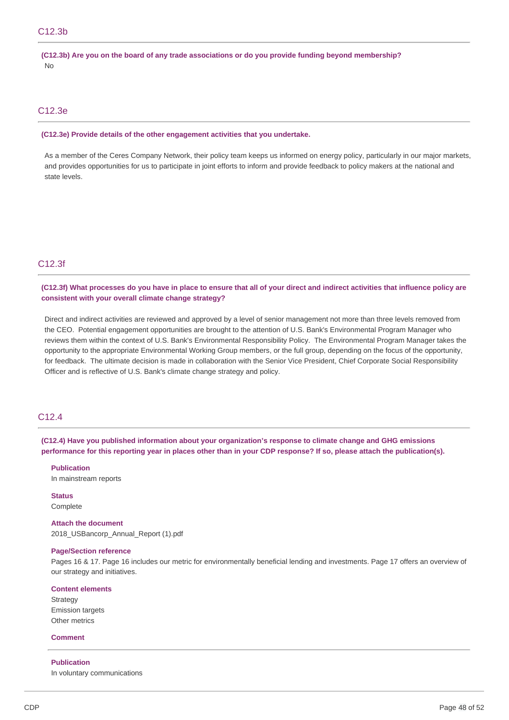(C12.3b) Are you on the board of any trade associations or do you provide funding beyond membership? No

## C12.3e

#### **(C12.3e) Provide details of the other engagement activities that you undertake.**

 As a member of the Ceres Company Network, their policy team keeps us informed on energy policy, particularly in our major markets, and provides opportunities for us to participate in joint efforts to inform and provide feedback to policy makers at the national and state levels.

## C12.3f

## (C12.3f) What processes do you have in place to ensure that all of your direct and indirect activities that influence policy are  **consistent with your overall climate change strategy?**

 Direct and indirect activities are reviewed and approved by a level of senior management not more than three levels removed from the CEO. Potential engagement opportunities are brought to the attention of U.S. Bank's Environmental Program Manager who reviews them within the context of U.S. Bank's Environmental Responsibility Policy. The Environmental Program Manager takes the opportunity to the appropriate Environmental Working Group members, or the full group, depending on the focus of the opportunity, for feedback. The ultimate decision is made in collaboration with the Senior Vice President, Chief Corporate Social Responsibility Officer and is reflective of U.S. Bank's climate change strategy and policy.

## C12.4

 **(C12.4) Have you published information about your organization's response to climate change and GHG emissions** performance for this reporting year in places other than in your CDP response? If so, please attach the publication(s).

### **Publication**

In mainstream reports

### **Status** Complete

 **Attach the document** 2018\_USBancorp\_Annual\_Report (1).pdf

#### **Page/Section reference**

 Pages 16 & 17. Page 16 includes our metric for environmentally beneficial lending and investments. Page 17 offers an overview of our strategy and initiatives.

#### **Content elements**

Strategy Emission targets Other metrics

#### **Comment**

#### **Publication**

In voluntary communications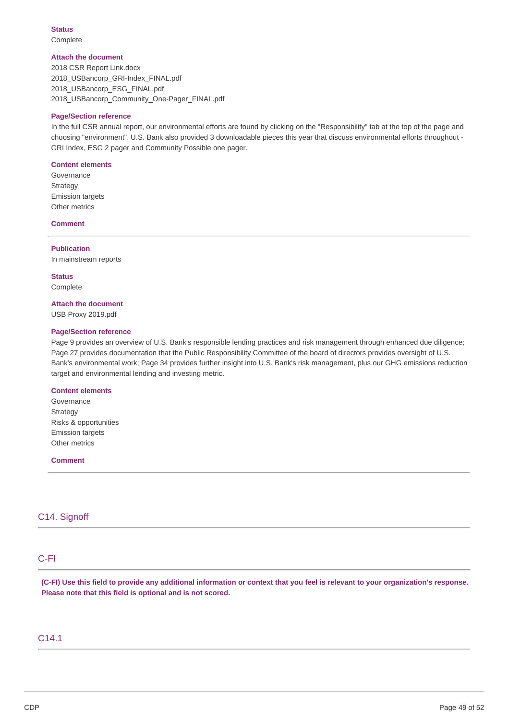**Status** Complete

#### **Attach the document**

 2018 CSR Report Link.docx 2018 USBancorp GRI-Index FINAL.pdf 2018\_USBancorp\_ESG\_FINAL.pdf 2018\_USBancorp\_Community\_One-Pager\_FINAL.pdf

### **Page/Section reference**

 In the full CSR annual report, our environmental efforts are found by clicking on the "Responsibility" tab at the top of the page and choosing "environment". U.S. Bank also provided 3 downloadable pieces this year that discuss environmental efforts throughout - GRI Index, ESG 2 pager and Community Possible one pager.

#### **Content elements**

Governance **Strategy** Emission targets Other metrics

### **Comment**

**Publication** In mainstream reports

**Status** Complete

#### **Attach the document**

USB Proxy 2019.pdf

### **Page/Section reference**

 Page 9 provides an overview of U.S. Bank's responsible lending practices and risk management through enhanced due diligence; Page 27 provides documentation that the Public Responsibility Committee of the board of directors provides oversight of U.S. Bank's environmental work; Page 34 provides further insight into U.S. Bank's risk management, plus our GHG emissions reduction target and environmental lending and investing metric.

#### **Content elements**

 Risks & opportunities Governance Strategy Emission targets Other metrics

#### **Comment**

## C14. Signoff

## C-FI

(C-FI) Use this field to provide any additional information or context that you feel is relevant to your organization's response.  **Please note that this field is optional and is not scored.**

## C14.1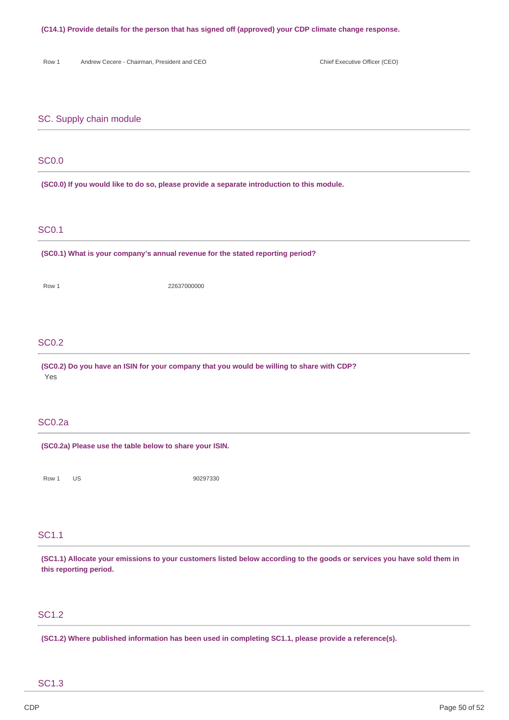#### **(C14.1) Provide details for the person that has signed off (approved) your CDP climate change response.**

Row 1 Andrew Cecere - Chairman, President and CEO Chief Executive Officer (CEO)

## SC. Supply chain module

## SC0.0

 **(SC0.0) If you would like to do so, please provide a separate introduction to this module.**

## SC0.1

 **(SC0.1) What is your company's annual revenue for the stated reporting period?**

Row 1 22637000000

## SC0.2

 **(SC0.2) Do you have an ISIN for your company that you would be willing to share with CDP?** Yes

### SC0.2a

 **(SC0.2a) Please use the table below to share your ISIN.**

Row 1 US 90297330

## SC1.1

(SC1.1) Allocate your emissions to your customers listed below according to the goods or services you have sold them in  **this reporting period.**

## SC1.2

 **(SC1.2) Where published information has been used in completing SC1.1, please provide a reference(s).**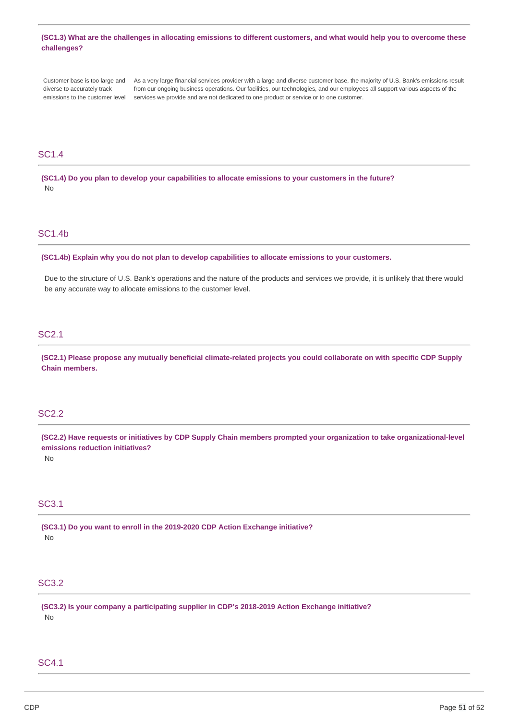## (SC1.3) What are the challenges in allocating emissions to different customers, and what would help you to overcome these **challenges?**

 Customer base is too large and As a very large financial services provider with a large and diverse customer base, the majority of U.S. Bank's emissions result diverse to accurately track emissions to the customer level services we provide and are not dedicated to one product or service or to one customer. diverse to accurately track from our ongoing business operations. Our facilities, our technologies, and our employees all support various aspects of the

## SC1.4

(SC1.4) Do you plan to develop your capabilities to allocate emissions to your customers in the future? No

## SC1.4b

 **(SC1.4b) Explain why you do not plan to develop capabilities to allocate emissions to your customers.**

 Due to the structure of U.S. Bank's operations and the nature of the products and services we provide, it is unlikely that there would be any accurate way to allocate emissions to the customer level.

## SC2.1

(SC2.1) Please propose any mutually beneficial climate-related projects you could collaborate on with specific CDP Supply **Chain members.**

## SC2.2

(SC2.2) Have requests or initiatives by CDP Supply Chain members prompted your organization to take organizational-level  **emissions reduction initiatives?**

No

## SC3.1

 **(SC3.1) Do you want to enroll in the 2019-2020 CDP Action Exchange initiative?** No

## SC3.2

 **(SC3.2) Is your company a participating supplier in CDP's 2018-2019 Action Exchange initiative?** No

## SC4.1